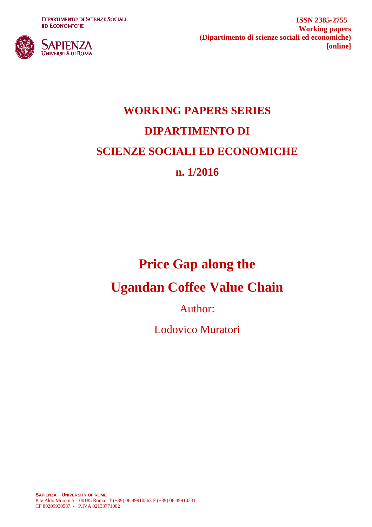**DIPARTIMENTO DI SCIENZE SOCIALI ED ECONOMICHE** 



**ISSN 2385-2755 Working papers (Dipartimento di scienze sociali ed economiche) [online]**

# **WORKING PAPERS SERIES DIPARTIMENTO DI SCIENZE SOCIALI ED ECONOMICHE n. 1/2016**

## **Price Gap along the**

## **Ugandan Coffee Value Chain**

Author:

Lodovico Muratori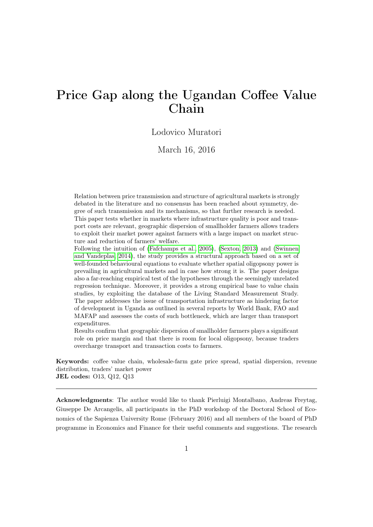## Price Gap along the Ugandan Coffee Value Chain

#### Lodovico Muratori

March 16, 2016

Relation between price transmission and structure of agricultural markets is strongly debated in the literature and no consensus has been reached about symmetry, degree of such transmission and its mechanisms, so that further research is needed. This paper tests whether in markets where infrastructure quality is poor and transport costs are relevant, geographic dispersion of smallholder farmers allows traders to exploit their market power against farmers with a large impact on market structure and reduction of farmers' welfare.

Following the intuition of [\(Fafchamps et al., 2005\)](#page-23-0), [\(Sexton, 2013\)](#page-25-0) and [\(Swinnen](#page-25-1) [and Vandeplas, 2014\)](#page-25-1), the study provides a structural approach based on a set of well-founded behavioural equations to evaluate whether spatial oligopsony power is prevailing in agricultural markets and in case how strong it is. The paper designs also a far-reaching empirical test of the hypotheses through the seemingly unrelated regression technique. Moreover, it provides a strong empirical base to value chain studies, by exploiting the database of the Living Standard Measurement Study. The paper addresses the issue of transportation infrastructure as hindering factor of development in Uganda as outlined in several reports by World Bank, FAO and MAFAP and assesses the costs of such bottleneck, which are larger than transport expenditures.

Results confirm that geographic dispersion of smallholder farmers plays a significant role on price margin and that there is room for local oligopsony, because traders overcharge transport and transaction costs to farmers.

Keywords: coffee value chain, wholesale-farm gate price spread, spatial dispersion, revenue distribution, traders' market power JEL codes: O13, Q12, Q13

Acknowledgments: The author would like to thank Pierluigi Montalbano, Andreas Freytag, Giuseppe De Arcangelis, all participants in the PhD workshop of the Doctoral School of Economics of the Sapienza University Rome (February 2016) and all members of the board of PhD programme in Economics and Finance for their useful comments and suggestions. The research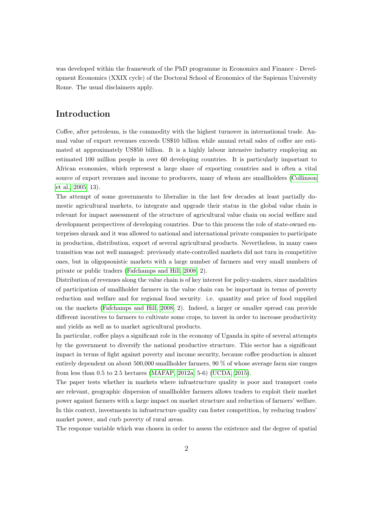was developed within the framework of the PhD programme in Economics and Finance - Development Economics (XXIX cycle) of the Doctoral School of Economics of the Sapienza University Rome. The usual disclaimers apply.

#### Introduction

Coffee, after petroleum, is the commodity with the highest turnover in international trade. Annual value of export revenues exceeds US\$10 billion while annual retail sales of coffee are estimated at approximately US\$50 billion. It is a highly labour intensive industry employing an estimated 100 million people in over 60 developing countries. It is particularly important to African economies, which represent a large share of exporting countries and is often a vital source of export revenues and income to producers, many of whom are smallholders [\(Collinson](#page-22-0) [et al., 2005,](#page-22-0) 13).

The attempt of some governments to liberalize in the last few decades at least partially domestic agricultural markets, to integrate and upgrade their status in the global value chain is relevant for impact assessment of the structure of agricultural value chain on social welfare and development perspectives of developing countries. Due to this process the role of state-owned enterprises shrank and it was allowed to national and international private companies to participate in production, distribution, export of several agricultural products. Nevertheless, in many cases transition was not well managed: previously state-controlled markets did not turn in competitive ones, but in oligopsonistic markets with a large number of farmers and very small numbers of private or public traders [\(Fafchamps and Hill, 2008,](#page-23-1) 2).

Distribution of revenues along the value chain is of key interest for policy-makers, since modalities of participation of smallholder farmers in the value chain can be important in terms of poverty reduction and welfare and for regional food security. i.e. quantity and price of food supplied on the markets [\(Fafchamps and Hill, 2008,](#page-23-1) 2). Indeed, a larger or smaller spread can provide different incentives to farmers to cultivate some crops, to invest in order to increase productivity and yields as well as to market agricultural products.

In particular, coffee plays a significant role in the economy of Uganda in spite of several attempts by the government to diversify the national productive structure. This sector has a significant impact in terms of fight against poverty and income security, because coffee production is almost entirely dependent on about 500,000 smallholder farmers, 90 % of whose average farm size ranges from less than 0.5 to 2.5 hectares [\(MAFAP, 2012a,](#page-24-0) 5-6) [\(UCDA, 2015\)](#page-25-2).

The paper tests whether in markets where infrastructure quality is poor and transport costs are relevant, geographic dispersion of smallholder farmers allows traders to exploit their market power against farmers with a large impact on market structure and reduction of farmers' welfare. In this context, investments in infrastructure quality can foster competition, by reducing traders' market power, and curb poverty of rural areas.

The response variable which was chosen in order to assess the existence and the degree of spatial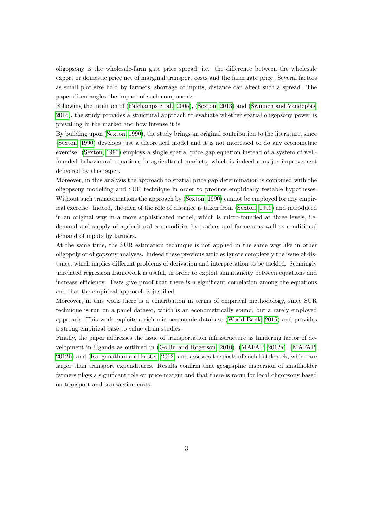oligopsony is the wholesale-farm gate price spread, i.e. the difference between the wholesale export or domestic price net of marginal transport costs and the farm gate price. Several factors as small plot size hold by farmers, shortage of inputs, distance can affect such a spread. The paper disentangles the impact of such components.

Following the intuition of [\(Fafchamps et al., 2005\)](#page-23-0), [\(Sexton, 2013\)](#page-25-0) and [\(Swinnen and Vandeplas,](#page-25-1) [2014\)](#page-25-1), the study provides a structural approach to evaluate whether spatial oligopsony power is prevailing in the market and how intense it is.

By building upon [\(Sexton, 1990\)](#page-25-3), the study brings an original contribution to the literature, since [\(Sexton, 1990\)](#page-25-3) develops just a theoretical model and it is not interessed to do any econometric exercise. [\(Sexton, 1990\)](#page-25-3) employs a single spatial price gap equation instead of a system of wellfounded behavioural equations in agricultural markets, which is indeed a major improvement delivered by this paper.

Moreover, in this analysis the approach to spatial price gap determination is combined with the oligopsony modelling and SUR technique in order to produce empirically testable hypotheses. Without such transformations the approach by [\(Sexton, 1990\)](#page-25-3) cannot be employed for any empirical exercise. Indeed, the idea of the role of distance is taken from [\(Sexton, 1990\)](#page-25-3) and introduced in an original way in a more sophisticated model, which is micro-founded at three levels, i.e. demand and supply of agricultural commodities by traders and farmers as well as conditional demand of inputs by farmers.

At the same time, the SUR estimation technique is not applied in the same way like in other oligopoly or oligopsony analyses. Indeed these previous articles ignore completely the issue of distance, which implies different problems of derivation and interpretation to be tackled. Seemingly unrelated regression framework is useful, in order to exploit simultaneity between equations and increase efficiency. Tests give proof that there is a significant correlation among the equations and that the empirical approach is justified.

Moreover, in this work there is a contribution in terms of empirical methodology, since SUR technique is run on a panel dataset, which is an econometrically sound, but a rarely employed approach. This work exploits a rich microeconomic database [\(World Bank, 2015\)](#page-26-0) and provides a strong empirical base to value chain studies.

Finally, the paper addresses the issue of transportation infrastructure as hindering factor of development in Uganda as outlined in [\(Gollin and Rogerson, 2010\)](#page-23-2), [\(MAFAP, 2012a\)](#page-24-0), [\(MAFAP,](#page-24-1) [2012b\)](#page-24-1) and [\(Ranganathan and Foster, 2012\)](#page-25-4) and assesses the costs of such bottleneck, which are larger than transport expenditures. Results confirm that geographic dispersion of smallholder farmers plays a significant role on price margin and that there is room for local oligopsony based on transport and transaction costs.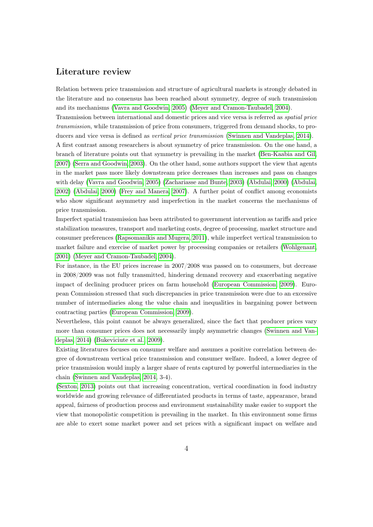#### Literature review

Relation between price transmission and structure of agricultural markets is strongly debated in the literature and no consensus has been reached about symmetry, degree of such transmission and its mechanisms [\(Vavra and Goodwin, 2005\)](#page-25-5) [\(Meyer and Cramon-Taubadel, 2004\)](#page-24-2).

Transmission between international and domestic prices and vice versa is referred as spatial price transmission, while transmission of price from consumers, triggered from demand shocks, to producers and vice versa is defined as *vertical price transmission* [\(Swinnen and Vandeplas, 2014\)](#page-25-1). A first contrast among researchers is about symmetry of price transmission. On the one hand, a branch of literature points out that symmetry is prevailing in the market [\(Ben-Kaabia and Gil,](#page-22-1) [2007\)](#page-22-1) [\(Serra and Goodwin, 2003\)](#page-25-6). On the other hand, some authors support the view that agents in the market pass more likely downstream price decreases than increases and pass on changes with delay [\(Vavra and Goodwin, 2005\)](#page-25-5) [\(Zachariasse and Bunte, 2003\)](#page-26-1) [\(Abdulai, 2000\)](#page-22-2) [\(Abdulai,](#page-22-3) [2002\)](#page-22-3) [\(Abdulai, 2000\)](#page-22-2) [\(Frey and Manera, 2007\)](#page-23-3). A further point of conflict among economists who show significant asymmetry and imperfection in the market concerns the mechanisms of price transmission.

Imperfect spatial transmission has been attributed to government intervention as tariffs and price stabilization measures, transport and marketing costs, degree of processing, market structure and consumer preferences [\(Rapsomanikis and Mugera, 2011\)](#page-25-7), while imperfect vertical transmission to market failure and exercise of market power by processing companies or retailers [\(Wohlgenant,](#page-26-2) [2001\)](#page-26-2) [\(Meyer and Cramon-Taubadel, 2004\)](#page-24-2).

For instance, in the EU prices increase in 2007/2008 was passed on to consumers, but decrease in 2008/2009 was not fully transmitted, hindering demand recovery and exacerbating negative impact of declining producer prices on farm household [\(European Commission, 2009\)](#page-23-4). European Commission stressed that such discrepancies in price transmission were due to an excessive number of intermediaries along the value chain and inequalities in bargaining power between contracting parties [\(European Commission, 2009\)](#page-23-4).

Nevertheless, this point cannot be always generalized, since the fact that producer prices vary more than consumer prices does not necessarily imply asymmetric changes [\(Swinnen and Van](#page-25-1)[deplas, 2014\)](#page-25-1) [\(Bukeviciute et al., 2009\)](#page-22-4).

Existing literatures focuses on consumer welfare and assumes a positive correlation between degree of downstream vertical price transmission and consumer welfare. Indeed, a lower degree of price transmission would imply a larger share of rents captured by powerful intermediaries in the chain [\(Swinnen and Vandeplas, 2014,](#page-25-1) 3-4).

[\(Sexton, 2013\)](#page-25-0) points out that increasing concentration, vertical coordination in food industry worldwide and growing relevance of differentiated products in terms of taste, appearance, brand appeal, fairness of production process and environment sustainability make easier to support the view that monopolistic competition is prevailing in the market. In this environment some firms are able to exert some market power and set prices with a significant impact on welfare and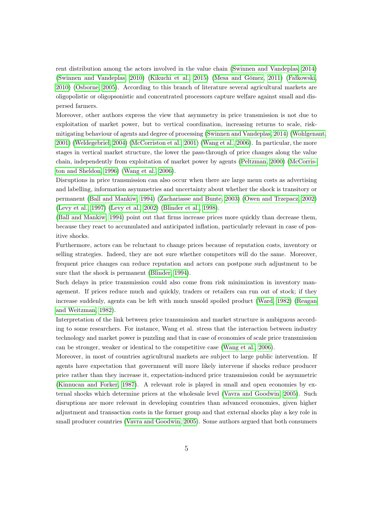rent distribution among the actors involved in the value chain [\(Swinnen and Vandeplas, 2014\)](#page-25-1) [\(Swinnen and Vandeplas, 2010\)](#page-25-8) [\(Kikuchi et al., 2015\)](#page-24-3) [\(Mesa and Gómez, 2011\)](#page-24-4) [\(Fałkowski,](#page-23-5) [2010\)](#page-23-5) [\(Osborne, 2005\)](#page-24-5). According to this branch of literature several agricultural markets are oligopolistic or oligopsonistic and concentrated processors capture welfare against small and dispersed farmers.

Moreover, other authors express the view that asymmetry in price transmission is not due to exploitation of market power, but to vertical coordination, increasing returns to scale, riskmitigating behaviour of agents and degree of processing [\(Swinnen and Vandeplas, 2014\)](#page-25-1) [\(Wohlgenant,](#page-26-2) [2001\)](#page-26-2) [\(Weldegebriel, 2004\)](#page-25-9) [\(McCorriston et al., 2001\)](#page-24-6) [\(Wang et al., 2006\)](#page-25-10). In particular, the more stages in vertical market structure, the lower the pass-through of price changes along the value chain, independently from exploitation of market power by agents [\(Peltzman, 2000\)](#page-25-11) [\(McCorris](#page-24-7)[ton and Sheldon, 1996\)](#page-24-7) [\(Wang et al., 2006\)](#page-25-10).

Disruptions in price transmission can also occur when there are large menu costs as advertising and labelling, information asymmetries and uncertainty about whether the shock is transitory or permanent [\(Ball and Mankiw, 1994\)](#page-22-5) [\(Zachariasse and Bunte, 2003\)](#page-26-1) [\(Owen and Trzepacz, 2002\)](#page-24-8) [\(Levy et al., 1997\)](#page-24-9) [\(Levy et al., 2002\)](#page-24-10) [\(Blinder et al., 1998\)](#page-22-6).

[\(Ball and Mankiw, 1994\)](#page-22-5) point out that firms increase prices more quickly than decrease them, because they react to accumulated and anticipated inflation, particularly relevant in case of positive shocks.

Furthermore, actors can be reluctant to change prices because of reputation costs, inventory or selling strategies. Indeed, they are not sure whether competitors will do the same. Moreover, frequent price changes can reduce reputation and actors can postpone such adjustment to be sure that the shock is permanent [\(Blinder, 1994\)](#page-22-7).

Such delays in price transmission could also come from risk minimization in inventory management. If prices reduce much and quickly, traders or retailers can run out of stock; if they increase suddenly, agents can be left with much unsold spoiled product [\(Ward, 1982\)](#page-25-12) [\(Reagan](#page-25-13) [and Weitzman, 1982\)](#page-25-13).

Interpretation of the link between price transmission and market structure is ambiguous according to some researchers. For instance, Wang et al. stress that the interaction between industry technology and market power is puzzling and that in case of economies of scale price transmission can be stronger, weaker or identical to the competitive case [\(Wang et al., 2006\)](#page-25-10).

Moreover, in most of countries agricultural markets are subject to large public intervention. If agents have expectation that government will more likely intervene if shocks reduce producer price rather than they increase it, expectation-induced price transmission could be asymmetric [\(Kinnucan and Forker, 1987\)](#page-24-11). A relevant role is played in small and open economies by external shocks which determine prices at the wholesale level [\(Vavra and Goodwin, 2005\)](#page-25-5). Such disruptions are more relevant in developing countries than advanced economies, given higher adjustment and transaction costs in the former group and that external shocks play a key role in small producer countries [\(Vavra and Goodwin, 2005\)](#page-25-5). Some authors argued that both consumers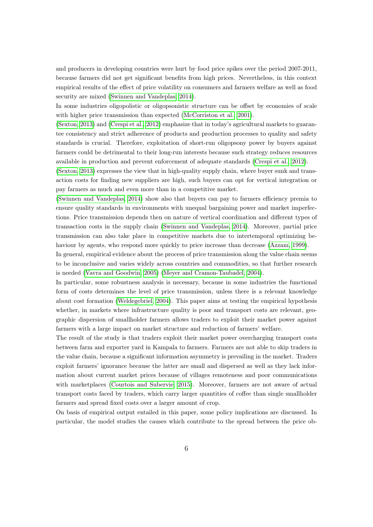and producers in developing countries were hurt by food price spikes over the period 2007-2011, because farmers did not get significant benefits from high prices. Nevertheless, in this context empirical results of the effect of price volatility on consumers and farmers welfare as well as food security are mixed [\(Swinnen and Vandeplas, 2014\)](#page-25-1).

In some industries oligopolistic or oligopsonistic structure can be offset by economies of scale with higher price transmission than expected [\(McCorriston et al., 2001\)](#page-24-6).

[\(Sexton, 2013\)](#page-25-0) and [\(Crespi et al., 2012\)](#page-22-8) emphasize that in today's agricultural markets to guarantee consistency and strict adherence of products and production processes to quality and safety standards is crucial. Therefore, exploitation of short-run oligopsony power by buyers against farmers could be detrimental to their long-run interests because such strategy reduces resources available in production and prevent enforcement of adequate standards [\(Crespi et al., 2012\)](#page-22-8).

[\(Sexton, 2013\)](#page-25-0) expresses the view that in high-quality supply chain, where buyer sunk and transaction costs for finding new suppliers are high, such buyers can opt for vertical integration or pay farmers as much and even more than in a competitive market.

[\(Swinnen and Vandeplas, 2014\)](#page-25-1) show also that buyers can pay to farmers efficiency premia to ensure quality standards in environments with unequal bargaining power and market imperfections. Price transmission depends then on nature of vertical coordination and different types of transaction costs in the supply chain [\(Swinnen and Vandeplas, 2014\)](#page-25-1). Moreover, partial price transmission can also take place in competitive markets due to intertemporal optimizing behaviour by agents, who respond more quickly to price increase than decrease [\(Azzam, 1999\)](#page-22-9).

In general, empirical evidence about the process of price transmission along the value chain seems to be inconclusive and varies widely across countries and commodities, so that further research is needed [\(Vavra and Goodwin, 2005\)](#page-25-5) [\(Meyer and Cramon-Taubadel, 2004\)](#page-24-2).

In particular, some robustness analysis is necessary, because in some industries the functional form of costs determines the level of price transmission, unless there is a relevant knowledge about cost formation [\(Weldegebriel, 2004\)](#page-25-9). This paper aims at testing the empirical hypothesis whether, in markets where infrastructure quality is poor and transport costs are relevant, geographic dispersion of smallholder farmers allows traders to exploit their market power against farmers with a large impact on market structure and reduction of farmers' welfare.

The result of the study is that traders exploit their market power overcharging transport costs between farm and exporter yard in Kampala to farmers. Farmers are not able to skip traders in the value chain, because a significant information asymmetry is prevailing in the market. Traders exploit farmers' ignorance because the latter are small and dispersed as well as they lack information about current market prices because of villages remoteness and poor communications with marketplaces [\(Courtois and Subervie, 2015\)](#page-22-10). Moreover, farmers are not aware of actual transport costs faced by traders, which carry larger quantities of coffee than single smallholder farmers and spread fixed costs over a larger amount of crop.

On basis of empirical output entailed in this paper, some policy implications are discussed. In particular, the model studies the causes which contribute to the spread between the price ob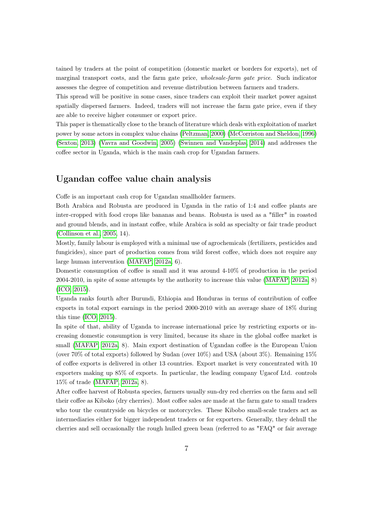tained by traders at the point of competition (domestic market or borders for exports), net of marginal transport costs, and the farm gate price, wholesale-farm gate price. Such indicator assesses the degree of competition and revenue distribution between farmers and traders.

This spread will be positive in some cases, since traders can exploit their market power against spatially dispersed farmers. Indeed, traders will not increase the farm gate price, even if they are able to receive higher consumer or export price.

This paper is thematically close to the branch of literature which deals with exploitation of market power by some actors in complex value chains [\(Peltzman, 2000\)](#page-25-11) [\(McCorriston and Sheldon, 1996\)](#page-24-7) [\(Sexton, 2013\)](#page-25-0) [\(Vavra and Goodwin, 2005\)](#page-25-5) [\(Swinnen and Vandeplas, 2014\)](#page-25-1) and addresses the coffee sector in Uganda, which is the main cash crop for Ugandan farmers.

#### Ugandan coffee value chain analysis

Coffe is an important cash crop for Ugandan smallholder farmers.

Both Arabica and Robusta are produced in Uganda in the ratio of 1:4 and coffee plants are inter-cropped with food crops like bananas and beans. Robusta is used as a "filler" in roasted and ground blends, and in instant coffee, while Arabica is sold as specialty or fair trade product [\(Collinson et al., 2005,](#page-22-0) 14).

Mostly, family labour is employed with a minimal use of agrochemicals (fertilizers, pesticides and fungicides), since part of production comes from wild forest coffee, which does not require any large human intervention [\(MAFAP, 2012a,](#page-24-0) 6).

Domestic consumption of coffee is small and it was around 4-10% of production in the period 2004-2010, in spite of some attempts by the authority to increase this value [\(MAFAP, 2012a,](#page-24-0) 8) [\(ICO, 2015\)](#page-23-6).

Uganda ranks fourth after Burundi, Ethiopia and Honduras in terms of contribution of coffee exports in total export earnings in the period 2000-2010 with an average share of 18% during this time [\(ICO, 2015\)](#page-23-6).

In spite of that, ability of Uganda to increase international price by restricting exports or increasing domestic consumption is very limited, because its share in the global coffee market is small [\(MAFAP, 2012a,](#page-24-0) 8). Main export destination of Ugandan coffee is the European Union (over  $70\%$  of total exports) followed by Sudan (over  $10\%$ ) and USA (about  $3\%$ ). Remaining  $15\%$ of coffee exports is delivered in other 13 countries. Export market is very concentrated with 10 exporters making up 85% of exports. In particular, the leading company Ugacof Ltd. controls 15% of trade [\(MAFAP, 2012a,](#page-24-0) 8).

After coffee harvest of Robusta species, farmers usually sun-dry red cherries on the farm and sell their coffee as Kiboko (dry cherries). Most coffee sales are made at the farm gate to small traders who tour the countryside on bicycles or motorcycles. These Kibobo small-scale traders act as intermediaries either for bigger independent traders or for exporters. Generally, they dehull the cherries and sell occasionally the rough hulled green bean (referred to as "FAQ" or fair average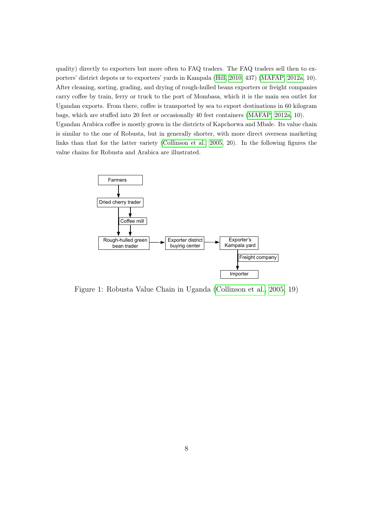quality) directly to exporters but more often to FAQ traders. The FAQ traders sell then to exporters' district depots or to exporters' yards in Kampala (Hill, 2010, 437) (MAFAP, 2012a, 10). After cleaning, sorting, grading, and drying of rough-hulled beans exporters or freight companies carry coffee by train, ferry or truck to the port of Mombasa, which it is the main sea outlet for Ugandan exports. From there, coffee is transported by sea to export destinations in 60 kilogram bags, which are stuffed into 20 feet or occasionally 40 feet containers [\(MAFAP, 2012a,](#page-24-0) 10). Ugandan Arabica coffee is mostly grown in the districts of Kapchorwa and Mbale. Its value chain Ugandan Arabica coffee is mostly grown in the districts of Kapchorwa and Mbale. Its value chain is similar to the one of Robusta, but in generally shorter, with more direct overseas marketing links than that for the latter variety (Collinson et al.,  $2005, 20$ ). In the following figures the value chains for Robusta and Arabica are illustrated. directly to  $\mu$  and  $\mu$  and  $\sigma$  is mostly grown in the districts of  $\bm{\kappa}$  apenditival and indice. This value c



Figure 1: Robusta Value Chain in Uganda [\(Collinson et al., 2005,](#page-22-0) 19)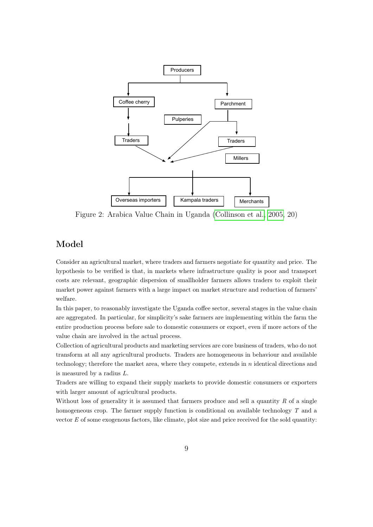

Figure 2: Arabica Value Chain in Uganda [\(Collinson et al., 2005,](#page-22-0) 20)

#### Model

Consider an agricultural market, where traders and farmers negotiate for quantity and price. The hypothesis to be verified is that, in markets where infrastructure quality is poor and transport costs are relevant, geographic dispersion of smallholder farmers allows traders to exploit their market power against farmers with a large impact on market structure and reduction of farmers' welfare.

In this paper, to reasonably investigate the Uganda coffee sector, several stages in the value chain are aggregated. In particular, for simplicity's sake farmers are implementing within the farm the entire production process before sale to domestic consumers or export, even if more actors of the value chain are involved in the actual process.

Collection of agricultural products and marketing services are core business of traders, who do not transform at all any agricultural products. Traders are homogeneous in behaviour and available technology; therefore the market area, where they compete, extends in  $n$  identical directions and is measured by a radius L.

Traders are willing to expand their supply markets to provide domestic consumers or exporters with larger amount of agricultural products.

Without loss of generality it is assumed that farmers produce and sell a quantity  $R$  of a single homogeneous crop. The farmer supply function is conditional on available technology T and a vector  $E$  of some exogenous factors, like climate, plot size and price received for the sold quantity: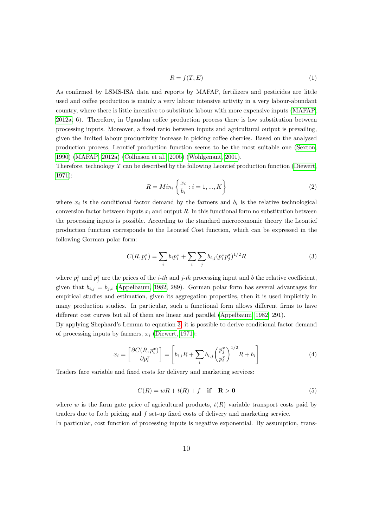$$
R = f(T, E) \tag{1}
$$

As confirmed by LSMS-ISA data and reports by MAFAP, fertilizers and pesticides are little used and coffee production is mainly a very labour intensive activity in a very labour-abundant country, where there is little incentive to substitute labour with more expensive inputs [\(MAFAP,](#page-24-0) [2012a,](#page-24-0) 6). Therefore, in Ugandan coffee production process there is low substitution between processing inputs. Moreover, a fixed ratio between inputs and agricultural output is prevailing, given the limited labour productivity increase in picking coffee cherries. Based on the analysed production process, Leontief production function seems to be the most suitable one [\(Sexton,](#page-25-3) [1990\)](#page-25-3) [\(MAFAP, 2012a\)](#page-24-0) [\(Collinson et al., 2005\)](#page-22-0) [\(Wohlgenant, 2001\)](#page-26-2).

Therefore, technology T can be described by the following Leontief production function [\(Diewert,](#page-23-8) [1971\)](#page-23-8):

$$
R = Min_i \left\{ \frac{x_i}{b_i} : i = 1, ..., K \right\}
$$
 (2)

where  $x_i$  is the conditional factor demand by the farmers and  $b_i$  is the relative technological conversion factor between inputs  $x_i$  and output R. In this functional form no substitution between the processing inputs is possible. According to the standard microeconomic theory the Leontief production function corresponds to the Leontief Cost function, which can be expressed in the following Gorman polar form:

<span id="page-10-0"></span>
$$
C(R, p_i^x) = \sum_i b_i p_i^x + \sum_i \sum_j b_{i,j} (p_i^x p_j^x)^{1/2} R
$$
\n(3)

where  $p_i^x$  and  $p_j^x$  are the prices of the *i-th* and *j-th* processing input and *b* the relative coefficient, given that  $b_{i,j} = b_{i,i}$  [\(Appelbaum, 1982,](#page-22-11) 289). Gorman polar form has several advantages for empirical studies and estimation, given its aggregation properties, then it is used implicitly in many production studies. In particular, such a functional form allows different firms to have different cost curves but all of them are linear and parallel [\(Appelbaum, 1982,](#page-22-11) 291).

<span id="page-10-2"></span>By applying Shephard's Lemma to equation [3,](#page-10-0) it is possible to derive conditional factor demand of processing inputs by farmers,  $x_i$  [\(Diewert, 1971\)](#page-23-8):

$$
x_i = \left[\frac{\partial C(R, p_i^x)}{\partial p_i^x}\right] = \left[b_{i,i}R + \sum_i b_{i,j} \left(\frac{p_j^x}{p_i^x}\right)^{1/2} R + b_i\right]
$$
(4)

<span id="page-10-1"></span>Traders face variable and fixed costs for delivery and marketing services:

$$
C(R) = wR + t(R) + f \quad \text{if} \quad \mathbf{R} > \mathbf{0} \tag{5}
$$

where w is the farm gate price of agricultural products,  $t(R)$  variable transport costs paid by traders due to f.o.b pricing and f set-up fixed costs of delivery and marketing service.

In particular, cost function of processing inputs is negative exponential. By assumption, trans-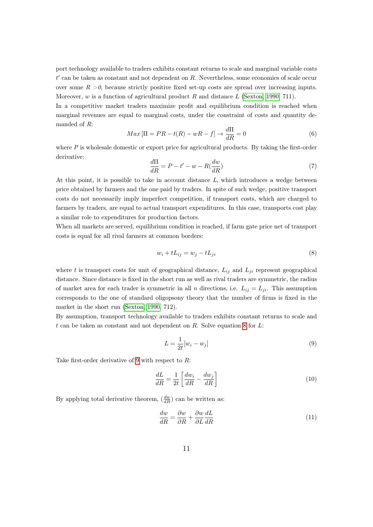port technology available to traders exhibits constant returns to scale and marginal variable costs  $t'$  can be taken as constant and not dependent on  $R$ . Nevertheless, some economies of scale occur over some  $R > 0$ , because strictly positive fixed set-up costs are spread over increasing inputs. Moreover,  $w$  is a function of agricultural product  $R$  and distance  $L$  [\(Sexton, 1990,](#page-25-3) 711).

In a competitive market traders maximize profit and equilibrium condition is reached when marginal revenues are equal to marginal costs, under the constraint of costs and quantity demanded of R:

<span id="page-11-4"></span>
$$
Max\left[\Pi = PR - t(R) - wR - f\right] \to \frac{d\Pi}{dR} = 0\tag{6}
$$

<span id="page-11-3"></span>where  $P$  is wholesale domestic or export price for agricultural products. By taking the first-order derivative:

$$
\frac{d\Pi}{dR} = P - t' - w - R(\frac{dw}{dR})\tag{7}
$$

At this point, it is possible to take in account distance  $L$ , which introduces a wedge between price obtained by farmers and the one paid by traders. In spite of such wedge, positive transport costs do not necessarily imply imperfect competition, if transport costs, which are charged to farmers by traders, are equal to actual transport expenditures. In this case, transports cost play a similar role to expenditures for production factors.

When all markets are served, equilibrium condition is reached, if farm gate price net of transport costs is equal for all rival farmers at common borders:

<span id="page-11-0"></span>
$$
w_i + tL_{ij} = w_j - tL_{ji}
$$
\n<sup>(8)</sup>

where t is transport costs for unit of geographical distance,  $L_{ij}$  and  $L_{ji}$  represent geographical distance. Since distance is fixed in the short run as well as rival traders are symmetric, the radius of market area for each trader is symmetric in all n directions, i.e.  $L_{ij} = L_{ji}$ . This assumption corresponds to the one of standard oligopsony theory that the number of firms is fixed in the market in the short run [\(Sexton, 1990,](#page-25-3) 712).

By assumption, transport technology available to traders exhibits constant returns to scale and  $t$  can be taken as constant and not dependent on  $R$ . Solve equation [8](#page-11-0) for  $L$ :

<span id="page-11-1"></span>
$$
L = \frac{1}{2t}[w_i - w_j] \tag{9}
$$

Take first-order derivative of [9](#page-11-1) with respect to  $R$ :

$$
\frac{dL}{dR} = \frac{1}{2t} \left[ \frac{dw_i}{dR} - \frac{dw_j}{dR} \right] \tag{10}
$$

<span id="page-11-2"></span>By applying total derivative theorem,  $\left(\frac{dw}{dR}\right)$  can be written as:

$$
\frac{dw}{dR} = \frac{\partial w}{\partial R} + \frac{\partial w}{\partial L}\frac{dL}{dR}
$$
\n(11)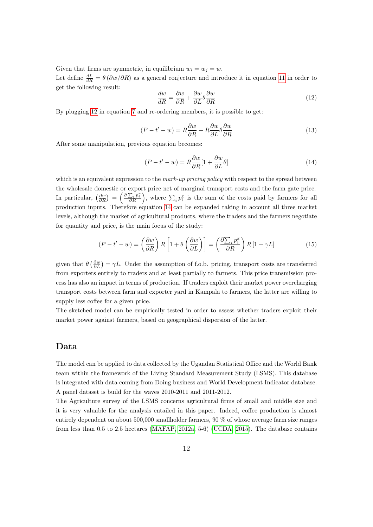Given that firms are symmetric, in equilibrium  $w_i = w_j = w$ .

Let define  $\frac{dL}{dR} = \theta (\partial w/\partial R)$  as a general conjecture and introduce it in equation [11](#page-11-2) in order to get the following result:

<span id="page-12-0"></span>
$$
\frac{dw}{dR} = \frac{\partial w}{\partial R} + \frac{\partial w}{\partial L} \theta \frac{\partial w}{\partial R}
$$
\n(12)

<span id="page-12-3"></span>By plugging [12](#page-12-0) in equation [7](#page-11-3) and re-ordering members, it is possible to get:

$$
(P - t' - w) = R\frac{\partial w}{\partial R} + R\frac{\partial w}{\partial L}\theta \frac{\partial w}{\partial R}
$$
\n(13)

After some manipulation, previous equation becomes:

<span id="page-12-2"></span><span id="page-12-1"></span>
$$
(P - t' - w) = R \frac{\partial w}{\partial R} [1 + \frac{\partial w}{\partial L} \theta]
$$
\n(14)

which is an equivalent expression to the *mark-up pricing policy* with respect to the spread between the wholesale domestic or export price net of marginal transport costs and the farm gate price. In particular,  $\left(\frac{\partial w}{\partial R}\right) = \left(\frac{\partial \sum_i p_i^x}{\partial R}\right)$ , where  $\sum_i p_i^x$  is the sum of the costs paid by farmers for all production inputs. Therefore equation [14](#page-12-1) can be expanded taking in account all three market levels, although the market of agricultural products, where the traders and the farmers negotiate for quantity and price, is the main focus of the study:

$$
(P - t' - w) = \left(\frac{\partial w}{\partial R}\right) R \left[1 + \theta \left(\frac{\partial w}{\partial L}\right)\right] = \left(\frac{\partial \sum_{i} p_{i}^{x}}{\partial R}\right) R \left[1 + \gamma L\right]
$$
(15)

given that  $\theta\left(\frac{\partial w}{\partial L}\right) = \gamma L$ . Under the assumption of f.o.b. pricing, transport costs are transferred from exporters entirely to traders and at least partially to farmers. This price transmission process has also an impact in terms of production. If traders exploit their market power overcharging transport costs between farm and exporter yard in Kampala to farmers, the latter are willing to supply less coffee for a given price.

The sketched model can be empirically tested in order to assess whether traders exploit their market power against farmers, based on geographical dispersion of the latter.

#### Data

The model can be applied to data collected by the Ugandan Statistical Office and the World Bank team within the framework of the Living Standard Measurement Study (LSMS). This database is integrated with data coming from Doing business and World Development Indicator database. A panel dataset is build for the waves 2010-2011 and 2011-2012.

The Agriculture survey of the LSMS concerns agricultural firms of small and middle size and it is very valuable for the analysis entailed in this paper. Indeed, coffee production is almost entirely dependent on about 500,000 smallholder farmers, 90 % of whose average farm size ranges from less than 0.5 to 2.5 hectares [\(MAFAP, 2012a,](#page-24-0) 5-6) [\(UCDA, 2015\)](#page-25-2). The database contains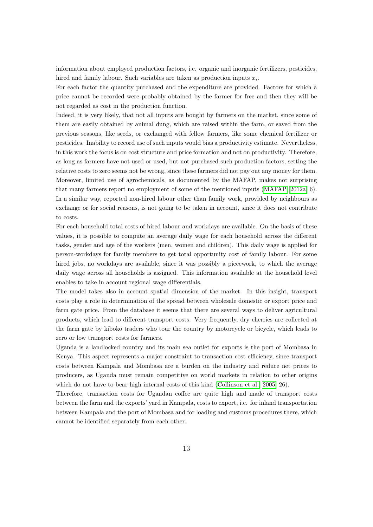information about employed production factors, i.e. organic and inorganic fertilizers, pesticides, hired and family labour. Such variables are taken as production inputs  $x_i$ .

For each factor the quantity purchased and the expenditure are provided. Factors for which a price cannot be recorded were probably obtained by the farmer for free and then they will be not regarded as cost in the production function.

Indeed, it is very likely, that not all inputs are bought by farmers on the market, since some of them are easily obtained by animal dung, which are raised within the farm, or saved from the previous seasons, like seeds, or exchanged with fellow farmers, like some chemical fertilizer or pesticides. Inability to record use of such inputs would bias a productivity estimate. Nevertheless, in this work the focus is on cost structure and price formation and not on productivity. Therefore, as long as farmers have not used or used, but not purchased such production factors, setting the relative costs to zero seems not be wrong, since these farmers did not pay out any money for them. Moreover, limited use of agrochemicals, as documented by the MAFAP, makes not surprising that many farmers report no employment of some of the mentioned inputs [\(MAFAP, 2012a,](#page-24-0) 6). In a similar way, reported non-hired labour other than family work, provided by neighbours as exchange or for social reasons, is not going to be taken in account, since it does not contribute to costs.

For each household total costs of hired labour and workdays are available. On the basis of these values, it is possible to compute an average daily wage for each household across the different tasks, gender and age of the workers (men, women and children). This daily wage is applied for person-workdays for family members to get total opportunity cost of family labour. For some hired jobs, no workdays are available, since it was possibly a piecework, to which the average daily wage across all households is assigned. This information available at the household level enables to take in account regional wage differentials.

The model takes also in account spatial dimension of the market. In this insight, transport costs play a role in determination of the spread between wholesale domestic or export price and farm gate price. From the database it seems that there are several ways to deliver agricultural products, which lead to different transport costs. Very frequently, dry cherries are collected at the farm gate by kiboko traders who tour the country by motorcycle or bicycle, which leads to zero or low transport costs for farmers.

Uganda is a landlocked country and its main sea outlet for exports is the port of Mombasa in Kenya. This aspect represents a major constraint to transaction cost efficiency, since transport costs between Kampala and Mombasa are a burden on the industry and reduce net prices to producers, as Uganda must remain competitive on world markets in relation to other origins which do not have to bear high internal costs of this kind [\(Collinson et al., 2005,](#page-22-0) 26).

Therefore, transaction costs for Ugandan coffee are quite high and made of transport costs between the farm and the exports' yard in Kampala, costs to export, i.e. for inland transportation between Kampala and the port of Mombasa and for loading and customs procedures there, which cannot be identified separately from each other.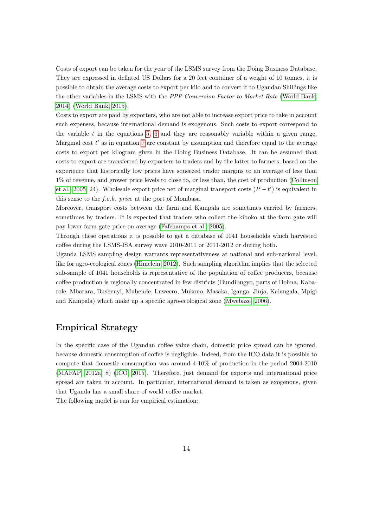Costs of export can be taken for the year of the LSMS survey from the Doing Business Database. They are expressed in deflated US Dollars for a 20 feet container of a weight of 10 tonnes, it is possible to obtain the average costs to export per kilo and to convert it to Ugandan Shillings like the other variables in the LSMS with the PPP Conversion Factor to Market Rate [\(World Bank,](#page-26-3) [2014\)](#page-26-3) [\(World Bank, 2015\)](#page-26-0).

Costs to export are paid by exporters, who are not able to increase export price to take in account such expenses, because international demand is exogenous. Such costs to export correspond to the variable  $t$  in the equations [5,](#page-10-1) [6](#page-11-4) and they are reasonably variable within a given range. Marginal cost  $t'$  as in equation [7](#page-11-3) are constant by assumption and therefore equal to the average costs to export per kilogram given in the Doing Business Database. It can be assumed that costs to export are transferred by exporters to traders and by the latter to farmers, based on the experience that historically low prices have squeezed trader margins to an average of less than 1% of revenue, and grower price levels to close to, or less than, the cost of production [\(Collinson](#page-22-0) [et al., 2005,](#page-22-0) 24). Wholesale export price net of marginal transport costs  $(P - t')$  is equivalent in this sense to the f.o.b. price at the port of Mombasa.

Moreover, transport costs between the farm and Kampala are sometimes carried by farmers, sometimes by traders. It is expected that traders who collect the kiboko at the farm gate will pay lower farm gate price on average [\(Fafchamps et al., 2005\)](#page-23-0).

Through these operations it is possible to get a database of 1041 households which harvested coffee during the LSMS-ISA survey wave 2010-2011 or 2011-2012 or during both.

Uganda LSMS sampling design warrants representativeness at national and sub-national level, like for agro-ecological zones [\(Himelein, 2012\)](#page-23-9). Such sampling algorithm implies that the selected sub-sample of 1041 households is representative of the population of coffee producers, because coffee production is regionally concentrated in few districts (Bundibugyo, parts of Hoima, Kabarole, Mbarara, Bushenyi, Mubende, Luweero, Mukono, Masaka, Iganga, Jinja, Kalangala, Mpigi and Kampala) which make up a specific agro-ecological zone [\(Mwebaze, 2006\)](#page-24-12).

#### Empirical Strategy

In the specific case of the Ugandan coffee value chain, domestic price spread can be ignored, because domestic consumption of coffee is negligible. Indeed, from the ICO data it is possible to compute that domestic consumption was around 4-10% of production in the period 2004-2010 [\(MAFAP, 2012a,](#page-24-0) 8) [\(ICO, 2015\)](#page-23-6). Therefore, just demand for exports and international price spread are taken in account. In particular, international demand is taken as exogenous, given that Uganda has a small share of world coffee market.

The following model is run for empirical estimation: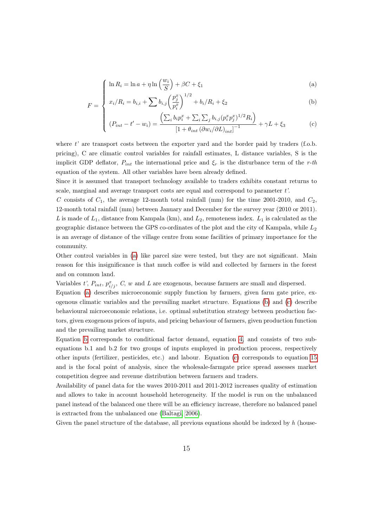$$
\left(\ln R_i = \ln a + \eta \ln \left(\frac{w_i}{S}\right) + \beta C + \xi_1\right) \tag{a}
$$

$$
F = \begin{cases} \frac{\ln I \cdot t_i - \ln a + I \cdot \ln \left( S \right)^{-1/2} \cdot S1}{x_i / R_i = b_{i,i} + \sum b_{i,j} \left( \frac{p_j^x}{p_i^x} \right)^{1/2} + b_i / R_i + \xi_2} \end{cases}
$$
 (b)

$$
(P_{int} - t' - w_i) = \frac{\left(\sum_i b_i p_i^x + \sum_i \sum_j b_{i,j} (p_i^x p_j^x)^{1/2} R_i\right)}{\left[1 + \theta_{int} \left(\partial w_i / \partial L\right)_{int}\right]^{-1}} + \gamma L + \xi_3
$$
 (c)

where  $t'$  are transport costs between the exporter yard and the border paid by traders (f.o.b. pricing), C are climatic control variables for rainfall estimates, L distance variables, S is the implicit GDP deflator,  $P_{int}$  the international price and  $\xi_r$  is the disturbance term of the r-th equation of the system. All other variables have been already defined.

Since it is assumed that transport technology available to traders exhibits constant returns to scale, marginal and average transport costs are equal and correspond to parameter  $t'$ .

C consists of  $C_1$ , the average 12-month total rainfall (mm) for the time 2001-2010, and  $C_2$ , 12-month total rainfall (mm) between January and December for the survey year (2010 or 2011). L is made of  $L_1$ , distance from Kampala (km), and  $L_2$ , remoteness index.  $L_1$  is calculated as the geographic distance between the GPS co-ordinates of the plot and the city of Kampala, while  $L_2$ is an average of distance of the village centre from some facilities of primary importance for the community.

Other control variables in [\(a\)](#page-30-0) like parcel size were tested, but they are not significant. Main reason for this insignificance is that much coffee is wild and collected by farmers in the forest and on common land.

Variables t',  $P_{int}, p_{i/j}^{x}$ , C, w and L are exogenous, because farmers are small and dispersed.

Equation [\(a\)](#page-30-0) describes microeconomic supply function by farmers, given farm gate price, exogenous climatic variables and the prevailing market structure. Equations [\(b\)](#page-30-0) and [\(c\)](#page-30-0) describe behavioural microeconomic relations, i.e. optimal substitution strategy between production factors, given exogenous prices of inputs, and pricing behaviour of farmers, given production function and the prevailing market structure.

Equation [b](#page-30-0) corresponds to conditional factor demand, equation [4,](#page-10-2) and consists of two subequations b.1 and b.2 for two groups of inputs employed in production process, respectively other inputs (fertilizer, pesticides, etc.) and labour. Equation [\(c\)](#page-30-0) corresponds to equation [15](#page-12-2) and is the focal point of analysis, since the wholesale-farmgate price spread assesses market competition degree and revenue distribution between farmers and traders.

Availability of panel data for the waves 2010-2011 and 2011-2012 increases quality of estimation and allows to take in account household heterogeneity. If the model is run on the unbalanced panel instead of the balanced one there will be an efficiency increase, therefore no balanced panel is extracted from the unbalanced one [\(Baltagi, 2006\)](#page-22-12).

Given the panel structure of the database, all previous equations should be indexed by  $h$  (house-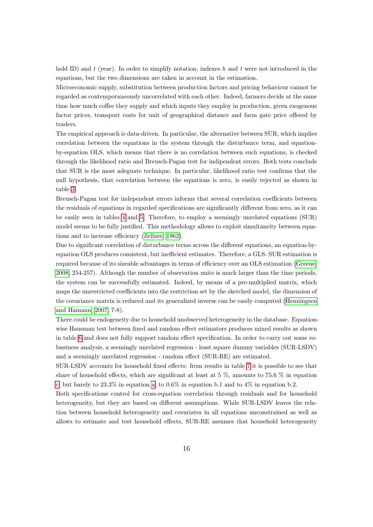hold ID) and t (year). In order to simplify notation, indexes h and t were not introduced in the equations, but the two dimensions are taken in account in the estimation.

Microeconomic supply, substitution between production factors and pricing behaviour cannot be regarded as contemporaneously uncorrelated with each other. Indeed, farmers decide at the same time how much coffee they supply and which inputs they employ in production, given exogenous factor prices, transport costs for unit of geographical distance and farm gate price offered by traders.

The empirical approach is data-driven. In particular, the alternative between SUR, which implies correlation between the equations in the system through the disturbance term, and equationby-equation OLS, which means that there is no correlation between such equations, is checked through the likelihood ratio and Breusch-Pagan test for indipendent errors. Both tests conclude that SUR is the most adeguate technique. In particular, likelihood ratio test confirms that the null hypothesis, that correlation between the equations is zero, is easily rejected as shown in table [3.](#page-30-1)

Breusch-Pagan test for independent errors informs that several correlation coefficients between the residuals of equations in regarded specifications are significantly different from zero, as it can be easily seen in tables [4](#page-31-0) and [5.](#page-32-0) Therefore, to employ a seemingly unrelated equations (SUR) model seems to be fully justified. This methodology allows to exploit simultaneity between equations and to increase efficiency [\(Zellner, 1962\)](#page-26-4).

Due to significant correlation of disturbance terms across the different equations, an equation-byequation OLS produces consistent, but inefficient estimates. Therefore, a GLS- SUR estimation is required because of its sizeable advantages in terms of efficiency over an OLS estimation [\(Greene,](#page-23-10) [2008,](#page-23-10) 254-257). Although the number of observation units is much larger than the time periods, the system can be successfully estimated. Indeed, by means of a pre-multiplied matrix, which maps the unrestricted coefficients into the restriction set by the sketched model, the dimension of the covariance matrix is reduced and its generalized inverse can be easily computed [\(Henningsen](#page-23-11) [and Hamann, 2007,](#page-23-11) 7-8).

There could be endogeneity due to household unobserved heterogeneity in the database. Equationwise Hausman test between fixed and random effect estimators produces mixed results as shown in table [6](#page-33-0) and does not fully support random effect specification. In order to carry out some robustness analysis, a seemingly unrelated regression - least square dummy variables (SUR-LSDV) and a seemingly unrelated regression - random effect (SUR-RE) are estimated.

SUR-LSDV accounts for household fixed effects: from results in table [7](#page-34-0) it is possible to see that share of household effects, which are significant at least at  $5\%$ , amounts to  $75.6\%$  in equation [c,](#page-30-0) but barely to 23.3% in equation [a,](#page-30-0) to 0.6% in equation b.1 and to 4% in equation b.2.

Both specifications control for cross-equation correlation through residuals and for household heterogeneity, but they are based on different assumptions. While SUR-LSDV leaves the relation between household heterogeneity and covariates in all equations unconstrained as well as allows to estimate and test household effects, SUR-RE assumes that household heterogeneity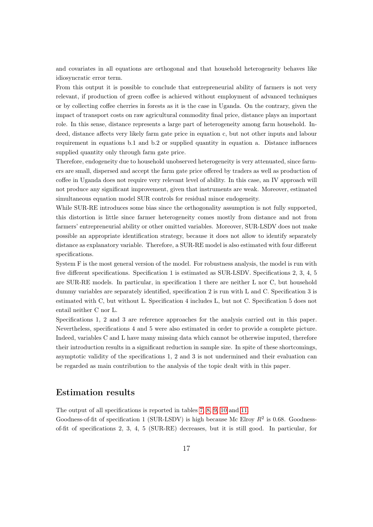and covariates in all equations are orthogonal and that household heterogeneity behaves like idiosyncratic error term.

From this output it is possible to conclude that entrepreneurial ability of farmers is not very relevant, if production of green coffee is achieved without employment of advanced techniques or by collecting coffee cherries in forests as it is the case in Uganda. On the contrary, given the impact of transport costs on raw agricultural commodity final price, distance plays an important role. In this sense, distance represents a large part of heterogeneity among farm household. Indeed, distance affects very likely farm gate price in equation c, but not other inputs and labour requirement in equations b.1 and b.2 or supplied quantity in equation a. Distance influences supplied quantity only through farm gate price.

Therefore, endogeneity due to household unobserved heterogeneity is very attenuated, since farmers are small, dispersed and accept the farm gate price offered by traders as well as production of coffee in Uganda does not require very relevant level of ability. In this case, an IV approach will not produce any significant improvement, given that instruments are weak. Moreover, estimated simultaneous equation model SUR controls for residual minor endogeneity.

While SUR-RE introduces some bias since the orthogonality assumption is not fully supported, this distortion is little since farmer heterogeneity comes mostly from distance and not from farmers' entrepreneurial ability or other omitted variables. Moreover, SUR-LSDV does not make possible an appropriate identification strategy, because it does not allow to identify separately distance as explanatory variable. Therefore, a SUR-RE model is also estimated with four different specifications.

System F is the most general version of the model. For robustness analysis, the model is run with five different specifications. Specification 1 is estimated as SUR-LSDV. Specifications 2, 3, 4, 5 are SUR-RE models. In particular, in specification 1 there are neither L nor C, but household dummy variables are separately identified, specification 2 is run with L and C. Specification 3 is estimated with C, but without L. Specification 4 includes L, but not C. Specification 5 does not entail neither C nor L.

Specifications 1, 2 and 3 are reference approaches for the analysis carried out in this paper. Nevertheless, specifications 4 and 5 were also estimated in order to provide a complete picture. Indeed, variables C and L have many missing data which cannot be otherwise imputed, therefore their introduction results in a significant reduction in sample size. In spite of these shortcomings, asymptotic validity of the specifications 1, 2 and 3 is not undermined and their evaluation can be regarded as main contribution to the analysis of the topic dealt with in this paper.

#### Estimation results

The output of all specifications is reported in tables [7,](#page-34-0) [8,](#page-35-0) [9,](#page-36-0) [10](#page-37-0) and [11.](#page-38-0)

Goodness-of-fit of specification 1 (SUR-LSDV) is high because Mc Elroy  $R^2$  is 0.68. Goodnessof-fit of specifications 2, 3, 4, 5 (SUR-RE) decreases, but it is still good. In particular, for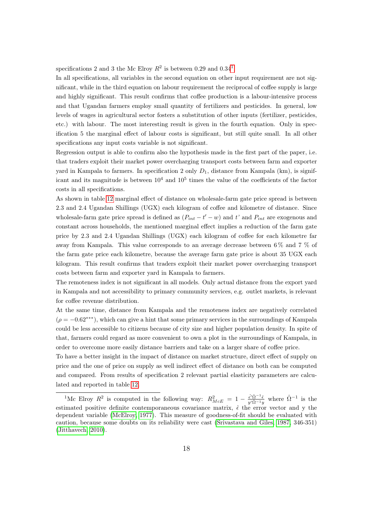specifications 2 and 3 the Mc Elroy  $R^2$  is between 0.29 and 0.34<sup>[1](#page-18-0)</sup>.

In all specifications, all variables in the second equation on other input requirement are not significant, while in the third equation on labour requirement the reciprocal of coffee supply is large and highly significant. This result confirms that coffee production is a labour-intensive process and that Ugandan farmers employ small quantity of fertilizers and pesticides. In general, low levels of wages in agricultural sector fosters a substitution of other inputs (fertilizer, pesticides, etc.) with labour. The most interesting result is given in the fourth equation. Only in specification 5 the marginal effect of labour costs is significant, but still quite small. In all other specifications any input costs variable is not significant.

Regression output is able to confirm also the hypothesis made in the first part of the paper, i.e. that traders exploit their market power overcharging transport costs between farm and exporter yard in Kampala to farmers. In specification 2 only  $D_1$ , distance from Kampala (km), is significant and its magnitude is between  $10^4$  and  $10^5$  times the value of the coefficients of the factor costs in all specifications.

As shown in table [12](#page-39-0) marginal effect of distance on wholesale-farm gate price spread is between 2.3 and 2.4 Ugandan Shillings (UGX) each kilogram of coffee and kilometre of distance. Since wholesale-farm gate price spread is defined as  $(P_{int} - t' - w)$  and t' and  $P_{int}$  are exogenous and constant across households, the mentioned marginal effect implies a reduction of the farm gate price by 2.3 and 2.4 Ugandan Shillings (UGX) each kilogram of coffee for each kilometre far away from Kampala. This value corresponds to an average decrease between 6 % and 7 % of the farm gate price each kilometre, because the average farm gate price is about 35 UGX each kilogram. This result confirms that traders exploit their market power overcharging transport costs between farm and exporter yard in Kampala to farmers.

The remoteness index is not significant in all models. Only actual distance from the export yard in Kampala and not accessibility to primary community services, e.g. outlet markets, is relevant for coffee revenue distribution.

At the same time, distance from Kampala and the remoteness index are negatively correlated  $(\rho = -0.62^{***})$ , which can give a hint that some primary services in the surroundings of Kampala could be less accessible to citizens because of city size and higher population density. In spite of that, farmers could regard as more convenient to own a plot in the surroundings of Kampala, in order to overcome more easily distance barriers and take on a larger share of coffee price.

To have a better insight in the impact of distance on market structure, direct effect of supply on price and the one of price on supply as well indirect effect of distance on both can be computed and compared. From results of specification 2 relevant partial elasticity parameters are calculated and reported in table [12.](#page-39-0)

<span id="page-18-0"></span><sup>&</sup>lt;sup>1</sup>Mc Elroy  $R^2$  is computed in the following way:  $R_{McE}^2 = 1 - \frac{\hat{\epsilon}' \hat{\Omega}^{-1} \hat{\epsilon}}{y' \hat{\Omega}^{-1} y}$  where  $\hat{\Omega}^{-1}$  is the estimated positive definite contemporaneous covariance matrix,  $\hat{\epsilon}$  the error vector and y the dependent variable [\(McElroy, 1977\)](#page-24-13). This measure of goodness-of-fit should be evaluated with caution, because some doubts on its reliability were cast [\(Srivastava and Giles, 1987,](#page-25-14) 346-351) [\(Jitthavech, 2010\)](#page-23-12).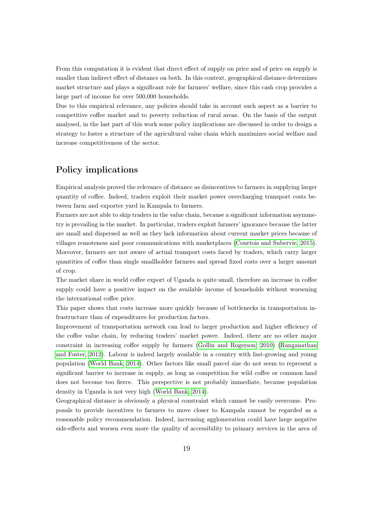From this computation it is evident that direct effect of supply on price and of price on supply is smaller than indirect effect of distance on both. In this context, geographical distance determines market structure and plays a significant role for farmers' welfare, since this cash crop provides a large part of income for over 500,000 households.

Due to this empirical relevance, any policies should take in account such aspect as a barrier to competitive coffee market and to poverty reduction of rural areas. On the basis of the output analysed, in the last part of this work some policy implications are discussed in order to design a strategy to foster a structure of the agricultural value chain which maximizes social welfare and increase competitiveness of the sector.

#### Policy implications

Empirical analysis proved the relevance of distance as disincentives to farmers in supplying larger quantity of coffee. Indeed, traders exploit their market power overcharging transport costs between farm and exporter yard in Kampala to farmers.

Farmers are not able to skip traders in the value chain, because a significant information asymmetry is prevailing in the market. In particular, traders exploit farmers' ignorance because the latter are small and dispersed as well as they lack information about current market prices because of villages remoteness and poor communications with marketplaces [\(Courtois and Subervie, 2015\)](#page-22-10). Moreover, farmers are not aware of actual transport costs faced by traders, which carry larger quantities of coffee than single smallholder farmers and spread fixed costs over a larger amount of crop.

The market share in world coffee export of Uganda is quite small, therefore an increase in coffee supply could have a positive impact on the available income of households without worsening the international coffee price.

This paper shows that costs increase more quickly because of bottlenecks in transportation infrastructure than of expenditures for production factors.

Improvement of transportation network can lead to larger production and higher efficiency of the coffee value chain, by reducing traders' market power. Indeed, there are no other major constraint in increasing coffee supply by farmers [\(Gollin and Rogerson, 2010\)](#page-23-2) [\(Ranganathan](#page-25-4) [and Foster, 2012\)](#page-25-4). Labour is indeed largely available in a country with fast-growing and young population [\(World Bank, 2014\)](#page-26-3). Other factors like small parcel size do not seem to represent a significant barrier to increase in supply, as long as competition for wild coffee or common land does not become too fierce. This perspective is not probably immediate, because population density in Uganda is not very high [\(World Bank, 2014\)](#page-26-3).

Geographical distance is obviously a physical constraint which cannot be easily overcome. Proposals to provide incentives to farmers to move closer to Kampala cannot be regarded as a reasonable policy recommendation. Indeed, increasing agglomeration could have large negative side-effects and worsen even more the quality of accessibility to primary services in the area of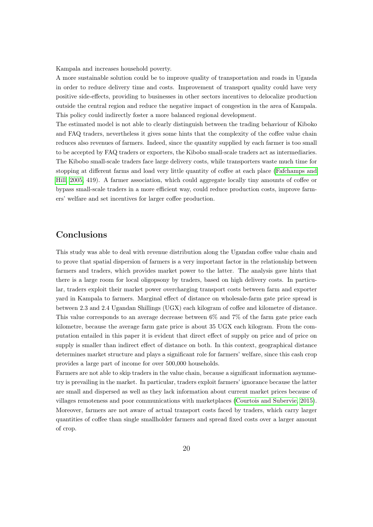Kampala and increases household poverty.

A more sustainable solution could be to improve quality of transportation and roads in Uganda in order to reduce delivery time and costs. Improvement of transport quality could have very positive side-effects, providing to businesses in other sectors incentives to delocalize production outside the central region and reduce the negative impact of congestion in the area of Kampala. This policy could indirectly foster a more balanced regional development.

The estimated model is not able to clearly distinguish between the trading behaviour of Kiboko and FAQ traders, nevertheless it gives some hints that the complexity of the coffee value chain reduces also revenues of farmers. Indeed, since the quantity supplied by each farmer is too small to be accepted by FAQ traders or exporters, the Kibobo small-scale traders act as intermediaries. The Kibobo small-scale traders face large delivery costs, while transporters waste much time for stopping at different farms and load very little quantity of coffee at each place [\(Fafchamps and](#page-23-13) [Hill, 2005,](#page-23-13) 419). A farmer association, which could aggregate locally tiny amounts of coffee or bypass small-scale traders in a more efficient way, could reduce production costs, improve farmers' welfare and set incentives for larger coffee production.

#### Conclusions

This study was able to deal with revenue distribution along the Ugandan coffee value chain and to prove that spatial dispersion of farmers is a very important factor in the relationship between farmers and traders, which provides market power to the latter. The analysis gave hints that there is a large room for local oligopsony by traders, based on high delivery costs. In particular, traders exploit their market power overcharging transport costs between farm and exporter yard in Kampala to farmers. Marginal effect of distance on wholesale-farm gate price spread is between 2.3 and 2.4 Ugandan Shillings (UGX) each kilogram of coffee and kilometre of distance. This value corresponds to an average decrease between 6% and 7% of the farm gate price each kilometre, because the average farm gate price is about 35 UGX each kilogram. From the computation entailed in this paper it is evident that direct effect of supply on price and of price on supply is smaller than indirect effect of distance on both. In this context, geographical distance determines market structure and plays a significant role for farmers' welfare, since this cash crop provides a large part of income for over 500,000 households.

Farmers are not able to skip traders in the value chain, because a significant information asymmetry is prevailing in the market. In particular, traders exploit farmers' ignorance because the latter are small and dispersed as well as they lack information about current market prices because of villages remoteness and poor communications with marketplaces [\(Courtois and Subervie, 2015\)](#page-22-10). Moreover, farmers are not aware of actual transport costs faced by traders, which carry larger quantities of coffee than single smallholder farmers and spread fixed costs over a larger amount of crop.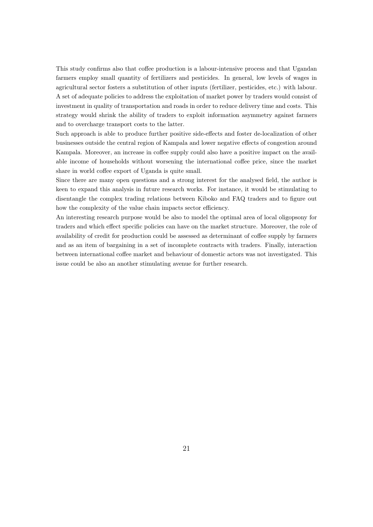This study confirms also that coffee production is a labour-intensive process and that Ugandan farmers employ small quantity of fertilizers and pesticides. In general, low levels of wages in agricultural sector fosters a substitution of other inputs (fertilizer, pesticides, etc.) with labour. A set of adequate policies to address the exploitation of market power by traders would consist of investment in quality of transportation and roads in order to reduce delivery time and costs. This strategy would shrink the ability of traders to exploit information asymmetry against farmers and to overcharge transport costs to the latter.

Such approach is able to produce further positive side-effects and foster de-localization of other businesses outside the central region of Kampala and lower negative effects of congestion around Kampala. Moreover, an increase in coffee supply could also have a positive impact on the available income of households without worsening the international coffee price, since the market share in world coffee export of Uganda is quite small.

Since there are many open questions and a strong interest for the analysed field, the author is keen to expand this analysis in future research works. For instance, it would be stimulating to disentangle the complex trading relations between Kiboko and FAQ traders and to figure out how the complexity of the value chain impacts sector efficiency.

An interesting research purpose would be also to model the optimal area of local oligopsony for traders and which effect specific policies can have on the market structure. Moreover, the role of availability of credit for production could be assessed as determinant of coffee supply by farmers and as an item of bargaining in a set of incomplete contracts with traders. Finally, interaction between international coffee market and behaviour of domestic actors was not investigated. This issue could be also an another stimulating avenue for further research.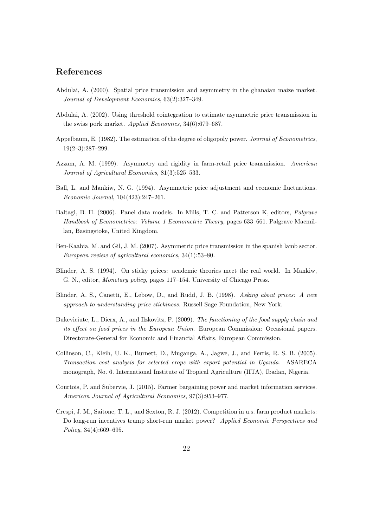#### References

- <span id="page-22-2"></span>Abdulai, A. (2000). Spatial price transmission and asymmetry in the ghanaian maize market. Journal of Development Economics, 63(2):327–349.
- <span id="page-22-3"></span>Abdulai, A. (2002). Using threshold cointegration to estimate asymmetric price transmission in the swiss pork market. Applied Economics, 34(6):679–687.
- <span id="page-22-11"></span>Appelbaum, E. (1982). The estimation of the degree of oligopoly power. Journal of Econometrics, 19(2–3):287–299.
- <span id="page-22-9"></span>Azzam, A. M. (1999). Asymmetry and rigidity in farm-retail price transmission. American Journal of Agricultural Economics, 81(3):525–533.
- <span id="page-22-5"></span>Ball, L. and Mankiw, N. G. (1994). Asymmetric price adjustment and economic fluctuations. Economic Journal, 104(423):247–261.
- <span id="page-22-12"></span>Baltagi, B. H. (2006). Panel data models. In Mills, T. C. and Patterson K, editors, Palgrave Handbook of Econometrics: Volume 1 Econometric Theory, pages 633–661. Palgrave Macmillan, Basingstoke, United Kingdom.
- <span id="page-22-1"></span>Ben-Kaabia, M. and Gil, J. M. (2007). Asymmetric price transmission in the spanish lamb sector. European review of agricultural economics, 34(1):53–80.
- <span id="page-22-7"></span>Blinder, A. S. (1994). On sticky prices: academic theories meet the real world. In Mankiw, G. N., editor, Monetary policy, pages 117–154. University of Chicago Press.
- <span id="page-22-6"></span>Blinder, A. S., Canetti, E., Lebow, D., and Rudd, J. B. (1998). Asking about prices: A new approach to understanding price stickiness. Russell Sage Foundation, New York.
- <span id="page-22-4"></span>Bukeviciute, L., Dierx, A., and Ilzkovitz, F. (2009). The functioning of the food supply chain and its effect on food prices in the European Union. European Commission: Occasional papers. Directorate-General for Economic and Financial Affairs, European Commission.
- <span id="page-22-0"></span>Collinson, C., Kleih, U. K., Burnett, D., Muganga, A., Jagwe, J., and Ferris, R. S. B. (2005). Transaction cost analysis for selected crops with export potential in Uganda. ASARECA monograph, No. 6. International Institute of Tropical Agriculture (IITA), Ibadan, Nigeria.
- <span id="page-22-10"></span>Courtois, P. and Subervie, J. (2015). Farmer bargaining power and market information services. American Journal of Agricultural Economics, 97(3):953–977.
- <span id="page-22-8"></span>Crespi, J. M., Saitone, T. L., and Sexton, R. J. (2012). Competition in u.s. farm product markets: Do long-run incentives trump short-run market power? Applied Economic Perspectives and Policy, 34(4):669–695.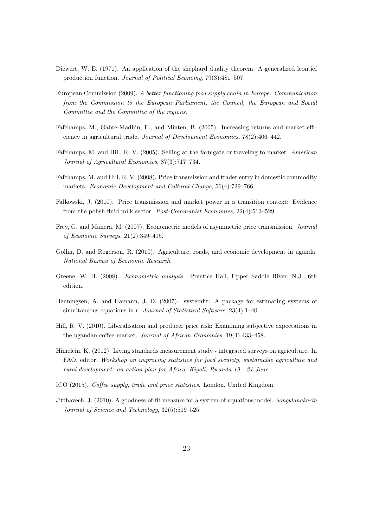- <span id="page-23-8"></span>Diewert, W. E. (1971). An application of the shephard duality theorem: A generalized leontief production function. Journal of Political Economy, 79(3):481–507.
- <span id="page-23-4"></span>European Commission (2009). A better functioning food supply chain in Europe: Communication from the Commission to the European Parliament, the Council, the European and Social Committee and the Committee of the regions.
- <span id="page-23-0"></span>Fafchamps, M., Gabre-Madhin, E., and Minten, B. (2005). Increasing returns and market efficiency in agricultural trade. Journal of Development Economics, 78(2):406–442.
- <span id="page-23-13"></span>Fafchamps, M. and Hill, R. V. (2005). Selling at the farmgate or traveling to market. American Journal of Agricultural Economics, 87(3):717–734.
- <span id="page-23-1"></span>Fafchamps, M. and Hill, R. V. (2008). Price transmission and trader entry in domestic commodity markets. Economic Development and Cultural Change, 56(4):729–766.
- <span id="page-23-5"></span>Fałkowski, J. (2010). Price transmission and market power in a transition context: Evidence from the polish fluid milk sector. Post-Communist Economies, 22(4):513–529.
- <span id="page-23-3"></span>Frey, G. and Manera, M. (2007). Econometric models of asymmetric price transmission. Journal of Economic Surveys, 21(2):349–415.
- <span id="page-23-2"></span>Gollin, D. and Rogerson, R. (2010). Agriculture, roads, and economic development in uganda. National Bureau of Economic Research.
- <span id="page-23-10"></span>Greene, W. H. (2008). Econometric analysis. Prentice Hall, Upper Saddle River, N.J., 6th edition.
- <span id="page-23-11"></span>Henningsen, A. and Hamann, J. D. (2007). systemfit: A package for estimating systems of simultaneous equations in r. Journal of Statistical Software, 23(4):1–40.
- <span id="page-23-7"></span>Hill, R. V. (2010). Liberalisation and producer price risk: Examining subjective expectations in the ugandan coffee market. Journal of African Economies, 19(4):433–458.
- <span id="page-23-9"></span>Himelein, K. (2012). Living standards measurement study - integrated surveys on agriculture. In FAO, editor, Workshop on improving statistics for food security, sustainable agriculture and rural development: an action plan for Africa, Kigali, Rwanda 19 - 21 June.
- <span id="page-23-6"></span>ICO (2015). Coffee supply, trade and price statistics. London, United Kingdom.
- <span id="page-23-12"></span>Jitthavech, J. (2010). A goodness-of-fit measure for a system-of-equations model. Songklanakarin Journal of Science and Technology, 32(5):519–525.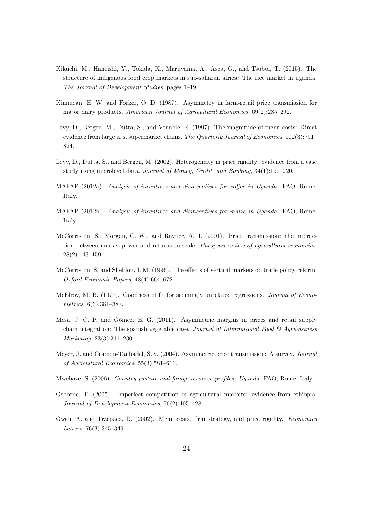- <span id="page-24-3"></span>Kikuchi, M., Haneishi, Y., Tokida, K., Maruyama, A., Asea, G., and Tsuboi, T. (2015). The structure of indigenous food crop markets in sub-saharan africa: The rice market in uganda. The Journal of Development Studies, pages 1–19.
- <span id="page-24-11"></span>Kinnucan, H. W. and Forker, O. D. (1987). Asymmetry in farm-retail price transmission for major dairy products. American Journal of Agricultural Economics, 69(2):285–292.
- <span id="page-24-9"></span>Levy, D., Bergen, M., Dutta, S., and Venable, R. (1997). The magnitude of menu costs: Direct evidence from large u. s. supermarket chains. The Quarterly Journal of Economics, 112(3):791– 824.
- <span id="page-24-10"></span>Levy, D., Dutta, S., and Bergen, M. (2002). Heterogeneity in price rigidity: evidence from a case study using microlevel data. Journal of Money, Credit, and Banking, 34(1):197–220.
- <span id="page-24-0"></span>MAFAP (2012a). Analysis of incentives and disincentives for coffee in Uganda. FAO, Rome, Italy.
- <span id="page-24-1"></span>MAFAP (2012b). Analysis of incentives and disincentives for maize in Uganda. FAO, Rome, Italy.
- <span id="page-24-6"></span>McCorriston, S., Morgan, C. W., and Rayner, A. J. (2001). Price transmission: the interaction between market power and returns to scale. European review of agricultural economics, 28(2):143–159.
- <span id="page-24-7"></span>McCorriston, S. and Sheldon, I. M. (1996). The effects of vertical markets on trade policy reform. Oxford Economic Papers, 48(4):664–672.
- <span id="page-24-13"></span>McElroy, M. B. (1977). Goodness of fit for seemingly unrelated regressions. *Journal of Econo*metrics, 6(3):381–387.
- <span id="page-24-4"></span>Mesa, J. C. P. and Gómez, E. G. (2011). Asymmetric margins in prices and retail supply chain integration: The spanish vegetable case. Journal of International Food  $\mathcal{B}$  Agribusiness Marketing, 23(3):211–230.
- <span id="page-24-2"></span>Meyer, J. and Cramon-Taubadel, S. v. (2004). Asymmetric price transmission: A survey. Journal of Agricultural Economics, 55(3):581–611.
- <span id="page-24-12"></span>Mwebaze, S. (2006). Country pasture and forage resource profiles: Uganda. FAO, Rome, Italy.
- <span id="page-24-5"></span>Osborne, T. (2005). Imperfect competition in agricultural markets: evidence from ethiopia. Journal of Development Economics, 76(2):405–428.
- <span id="page-24-8"></span>Owen, A. and Trzepacz, D. (2002). Menu costs, firm strategy, and price rigidity. Economics Letters, 76(3):345–349.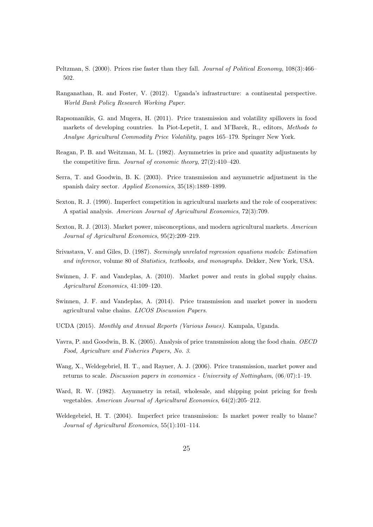- <span id="page-25-11"></span>Peltzman, S. (2000). Prices rise faster than they fall. Journal of Political Economy, 108(3):466– 502.
- <span id="page-25-4"></span>Ranganathan, R. and Foster, V. (2012). Uganda's infrastructure: a continental perspective. World Bank Policy Research Working Paper.
- <span id="page-25-7"></span>Rapsomanikis, G. and Mugera, H. (2011). Price transmission and volatility spillovers in food markets of developing countries. In Piot-Lepetit, I. and M'Barek, R., editors, Methods to Analyse Agricultural Commodity Price Volatility, pages 165–179. Springer New York.
- <span id="page-25-13"></span>Reagan, P. B. and Weitzman, M. L. (1982). Asymmetries in price and quantity adjustments by the competitive firm. Journal of economic theory, 27(2):410–420.
- <span id="page-25-6"></span>Serra, T. and Goodwin, B. K. (2003). Price transmission and asymmetric adjustment in the spanish dairy sector. Applied Economics, 35(18):1889–1899.
- <span id="page-25-3"></span>Sexton, R. J. (1990). Imperfect competition in agricultural markets and the role of cooperatives: A spatial analysis. American Journal of Agricultural Economics, 72(3):709.
- <span id="page-25-0"></span>Sexton, R. J. (2013). Market power, misconceptions, and modern agricultural markets. American Journal of Agricultural Economics, 95(2):209–219.
- <span id="page-25-14"></span>Srivastava, V. and Giles, D. (1987). Seemingly unrelated regression equations models: Estimation and inference, volume 80 of Statistics, textbooks, and monographs. Dekker, New York, USA.
- <span id="page-25-8"></span>Swinnen, J. F. and Vandeplas, A. (2010). Market power and rents in global supply chains. Agricultural Economics, 41:109–120.
- <span id="page-25-1"></span>Swinnen, J. F. and Vandeplas, A. (2014). Price transmission and market power in modern agricultural value chains. LICOS Discussion Papers.
- <span id="page-25-2"></span>UCDA (2015). Monthly and Annual Reports (Various Issues). Kampala, Uganda.
- <span id="page-25-5"></span>Vavra, P. and Goodwin, B. K. (2005). Analysis of price transmission along the food chain. OECD Food, Agriculture and Fisheries Papers, No. 3.
- <span id="page-25-10"></span>Wang, X., Weldegebriel, H. T., and Rayner, A. J. (2006). Price transmission, market power and returns to scale. Discussion papers in economics - University of Nottingham, (06/07):1–19.
- <span id="page-25-12"></span>Ward, R. W. (1982). Asymmetry in retail, wholesale, and shipping point pricing for fresh vegetables. American Journal of Agricultural Economics, 64(2):205–212.
- <span id="page-25-9"></span>Weldegebriel, H. T. (2004). Imperfect price transmission: Is market power really to blame? Journal of Agricultural Economics, 55(1):101–114.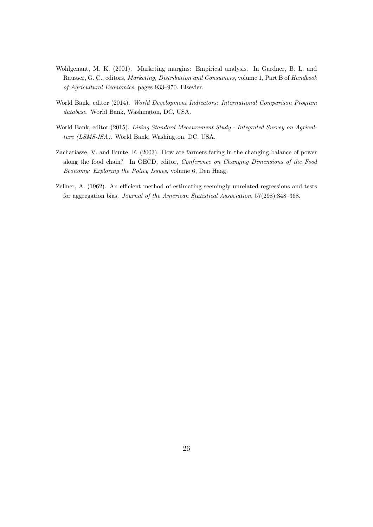- <span id="page-26-2"></span>Wohlgenant, M. K. (2001). Marketing margins: Empirical analysis. In Gardner, B. L. and Rausser, G. C., editors, Marketing, Distribution and Consumers, volume 1, Part B of Handbook of Agricultural Economics, pages 933–970. Elsevier.
- <span id="page-26-3"></span>World Bank, editor (2014). World Development Indicators: International Comparison Program database. World Bank, Washington, DC, USA.
- <span id="page-26-0"></span>World Bank, editor (2015). Living Standard Measurement Study - Integrated Survey on Agriculture (LSMS-ISA). World Bank, Washington, DC, USA.
- <span id="page-26-1"></span>Zachariasse, V. and Bunte, F. (2003). How are farmers faring in the changing balance of power along the food chain? In OECD, editor, Conference on Changing Dimensions of the Food Economy: Exploring the Policy Issues, volume 6, Den Haag.
- <span id="page-26-4"></span>Zellner, A. (1962). An efficient method of estimating seemingly unrelated regressions and tests for aggregation bias. Journal of the American Statistical Association, 57(298):348–368.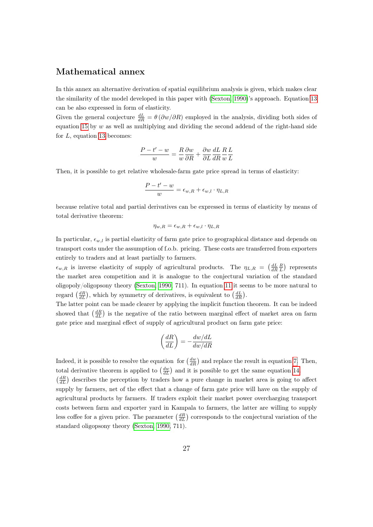#### Mathematical annex

In this annex an alternative derivation of spatial equilibrium analysis is given, which makes clear the similarity of the model developed in this paper with [\(Sexton, 1990\)](#page-25-3)'s approach. Equation [13](#page-12-3) can be also expressed in form of elasticity.

Given the general conjecture  $\frac{dL}{dR} = \theta (\partial w/\partial R)$  employed in the analysis, dividing both sides of equation [15](#page-12-2) by  $w$  as well as multiplying and dividing the second addend of the right-hand side for  $L$ , equation [13](#page-12-3) becomes:

$$
\frac{P-t'-w}{w} = \frac{R}{w}\frac{\partial w}{\partial R} + \frac{\partial w}{\partial L}\frac{dL}{dR}\frac{R}{w}\frac{L}{L}
$$

Then, it is possible to get relative wholesale-farm gate price spread in terms of elasticity:

$$
\frac{P - t' - w}{w} = \epsilon_{w,R} + \epsilon_{w,l} \cdot \eta_{L,R}
$$

because relative total and partial derivatives can be expressed in terms of elasticity by means of total derivative theorem:

$$
\eta_{w,R} = \epsilon_{w,R} + \epsilon_{w,l} \cdot \eta_{L,R}
$$

In particular,  $\epsilon_{w,l}$  is partial elasticity of farm gate price to geographical distance and depends on transport costs under the assumption of f.o.b. pricing. These costs are transferred from exporters entirely to traders and at least partially to farmers.

 $\epsilon_{w,R}$  is inverse elasticity of supply of agricultural products. The  $\eta_{L,R} = \left(\frac{dL}{dR}\frac{R}{L}\right)$  represents the market area competition and it is analogue to the conjectural variation of the standard oligopoly/oligopsony theory [\(Sexton, 1990,](#page-25-3) 711). In equation [11](#page-11-2) it seems to be more natural to regard  $\left(\frac{dR}{dL}\right)$ , which by symmetry of derivatives, is equivalent to  $\left(\frac{dL}{dR}\right)$ .

The latter point can be made clearer by applying the implicit function theorem. It can be indeed showed that  $\left(\frac{dR}{dL}\right)$  is the negative of the ratio between marginal effect of market area on farm gate price and marginal effect of supply of agricultural product on farm gate price:

$$
\left(\frac{dR}{dL}\right) = -\frac{dw/dL}{dw/dR}
$$

Indeed, it is possible to resolve the equation for  $\left(\frac{dw}{dR}\right)$  and replace the result in equation [7.](#page-11-3) Then, total derivative theorem is applied to  $\left(\frac{dw}{dL}\right)$  and it is possible to get the same equation [14.](#page-12-1)

 $\left(\frac{dR}{dL}\right)$  describes the perception by traders how a pure change in market area is going to affect supply by farmers, net of the effect that a change of farm gate price will have on the supply of agricultural products by farmers. If traders exploit their market power overcharging transport costs between farm and exporter yard in Kampala to farmers, the latter are willing to supply less coffee for a given price. The parameter  $\left(\frac{dR}{dL}\right)$  corresponds to the conjectural variation of the standard oligopsony theory [\(Sexton, 1990,](#page-25-3) 711).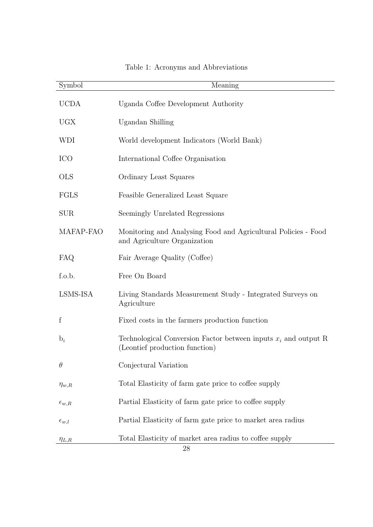| Symbol           | Meaning                                                                                             |
|------------------|-----------------------------------------------------------------------------------------------------|
| <b>UCDA</b>      | Uganda Coffee Development Authority                                                                 |
| <b>UGX</b>       | Ugandan Shilling                                                                                    |
| <b>WDI</b>       | World development Indicators (World Bank)                                                           |
| <b>ICO</b>       | International Coffee Organisation                                                                   |
| <b>OLS</b>       | Ordinary Least Squares                                                                              |
| FGLS             | Feasible Generalized Least Square                                                                   |
| <b>SUR</b>       | Seemingly Unrelated Regressions                                                                     |
| MAFAP-FAO        | Monitoring and Analysing Food and Agricultural Policies - Food<br>and Agriculture Organization      |
| FAQ              | Fair Average Quality (Coffee)                                                                       |
| f.o.b.           | Free On Board                                                                                       |
| LSMS-ISA         | Living Standards Measurement Study - Integrated Surveys on<br>Agriculture                           |
| f                | Fixed costs in the farmers production function                                                      |
| $b_i$            | Technological Conversion Factor between inputs $x_i$ and output R<br>(Leontief production function) |
| $\theta$         | Conjectural Variation                                                                               |
| $\eta_{w,R}$     | Total Elasticity of farm gate price to coffee supply                                                |
| $\epsilon_{w,R}$ | Partial Elasticity of farm gate price to coffee supply                                              |
| $\epsilon_{w,l}$ | Partial Elasticity of farm gate price to market area radius                                         |
| $\eta_{L,R}$     | Total Elasticity of market area radius to coffee supply                                             |

### Table 1: Acronyms and Abbreviations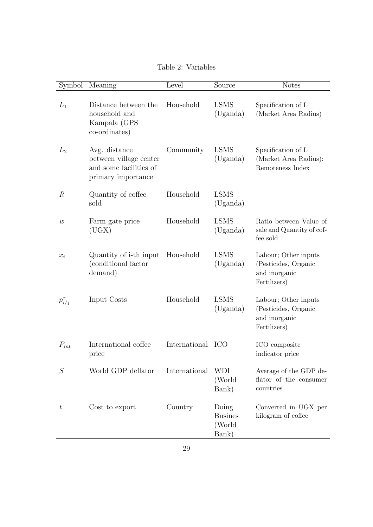Table 2: Variables

| Symbol           | Meaning                                                                                 | Level             | Source                                     | <b>Notes</b>                                                                  |
|------------------|-----------------------------------------------------------------------------------------|-------------------|--------------------------------------------|-------------------------------------------------------------------------------|
| $L_1$            | Distance between the<br>household and<br>Kampala (GPS<br>co-ordinates)                  | Household         | <b>LSMS</b><br>(Uganda)                    | Specification of L<br>(Market Area Radius)                                    |
| $L_2$            | Avg. distance<br>between village center<br>and some facilities of<br>primary importance | Community         | <b>LSMS</b><br>(Uganda)                    | Specification of L<br>(Market Area Radius):<br>Remoteness Index               |
| $\mathbb R$      | Quantity of coffee<br>sold                                                              | Household         | <b>LSMS</b><br>(Uganda)                    |                                                                               |
| $\boldsymbol{w}$ | Farm gate price<br>(UGX)                                                                | Household         | <b>LSMS</b><br>(Uganda)                    | Ratio between Value of<br>sale and Quantity of cof-<br>fee sold               |
| $x_i$            | Quantity of i-th input<br>(conditional factor<br>demand)                                | Household         | <b>LSMS</b><br>(Uganda)                    | Labour; Other inputs<br>(Pesticides, Organic<br>and inorganic<br>Fertilizers) |
| $p_{i/j}^x$      | Input Costs                                                                             | Household         | <b>LSMS</b><br>(Uganda)                    | Labour; Other inputs<br>(Pesticides, Organic<br>and inorganic<br>Fertilizers) |
| $P_{int}$        | International coffee<br>price                                                           | International ICO |                                            | ICO composite<br>indicator price                                              |
| S                | World GDP deflator                                                                      | International     | <b>WDI</b><br>(World<br>Bank)              | Average of the GDP de-<br>flator of the consumer<br>countries                 |
| $t\,$            | Cost to export                                                                          | Country           | Doing<br><b>Busines</b><br>(World<br>Bank) | Converted in UGX per<br>kilogram of coffee                                    |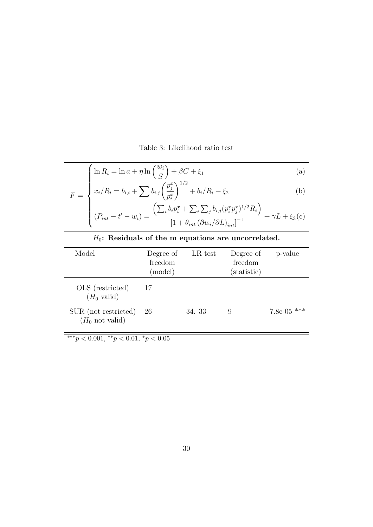Table 3: Likelihood ratio test

<span id="page-30-1"></span>
$$
\int \ln R_i = \ln a + \eta \ln \left(\frac{w_i}{S}\right) + \beta C + \xi_1
$$
\n(a)\n
$$
F = \int x_i/R_i = b_{i,i} + \sum b_{i,j} \left(\frac{p_j^x}{r^x}\right)^{1/2} + b_i/R_i + \xi_2
$$
\n(b)

$$
F = \begin{cases} x_i/R_i = b_{i,i} + \sum b_{i,j} \left(\frac{p_j^x}{p_i^x}\right)^{1/2} + b_i/R_i + \xi_2 \end{cases}
$$
 (b)

<span id="page-30-0"></span>
$$
(P_{int} - t' - w_i) = \frac{\left(\sum_i b_i p_i^x + \sum_i \sum_j b_{i,j} (p_i^x p_j^x)^{1/2} R_i\right)}{\left[1 + \theta_{int} (\partial w_i / \partial L)_{int}\right]^{-1}} + \gamma L + \xi_3(c)
$$

| $H_0$ : Residuals of the m equations are uncorrelated. |                                 |         |                                     |               |  |
|--------------------------------------------------------|---------------------------------|---------|-------------------------------------|---------------|--|
| Model                                                  | Degree of<br>freedom<br>(model) | LR test | Degree of<br>freedom<br>(statistic) | p-value       |  |
| OLS (restricted)<br>$(H_0 \text{ valid})$              | - 17                            |         |                                     |               |  |
| SUR (not restricted)<br>$(H_0$ not valid)              | 26                              | 34. 33  | 9                                   | $7.8e-05$ *** |  |

\*\*\* $p < 0.001,$ \*\* $p < 0.01,$ \* $p < 0.05$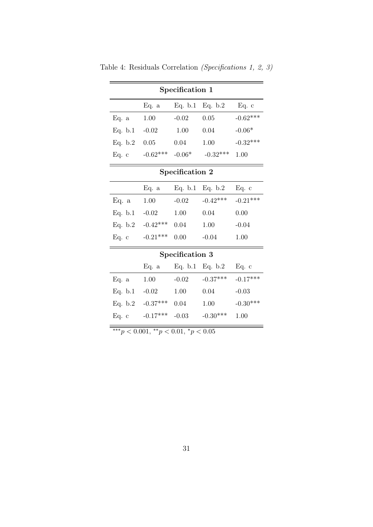| Specification 1 |                                                |                 |                                |            |  |  |
|-----------------|------------------------------------------------|-----------------|--------------------------------|------------|--|--|
|                 |                                                |                 | Eq. a Eq. b.1 Eq. b.2          | Eq. c      |  |  |
| Eq. a           | 1.00                                           | $-0.02$         | 0.05                           | $-0.62***$ |  |  |
| Eq. b.1         | $-0.02$                                        | 1.00            | 0.04                           | $-0.06*$   |  |  |
| Eq. b.2         | 0.05                                           | 0.04            | 1.00                           | $-0.32***$ |  |  |
| Eq. c           |                                                |                 | $-0.62***$ $-0.06*$ $-0.32***$ | 1.00       |  |  |
| Specification 2 |                                                |                 |                                |            |  |  |
|                 | Eq. a                                          |                 | Eq. b.1 Eq. b.2                | Eq. c      |  |  |
| Eq. a           | 1.00                                           | $-0.02$         | $-0.42***$                     | $-0.21***$ |  |  |
| Eq. b.1         | $-0.02$                                        | 1.00            | 0.04                           | 0.00       |  |  |
| Eq. b.2         | $-0.42***$                                     | 0.04            | 1.00                           | $-0.04$    |  |  |
| Eq. c           | $-0.21***$                                     | 0.00            | $-0.04$                        | 1.00       |  |  |
|                 |                                                | Specification 3 |                                |            |  |  |
|                 | Eq. a                                          |                 | Eq. b.1 Eq. b.2                | Eq. c      |  |  |
| Eq. a           | 1.00                                           | $-0.02$         | $-0.37***$                     | $-0.17***$ |  |  |
|                 | Eq. b.1 $-0.02$                                | 1.00            | 0.04                           | $-0.03$    |  |  |
| Eq. b.2         | $-0.37***$                                     | 0.04            | 1.00                           | $-0.30***$ |  |  |
| Eq. c           | $-0.17***$                                     | $-0.03$         | $-0.30***$                     | 1.00       |  |  |
|                 | *** $p < 0.001$ , ** $p < 0.01$ , * $p < 0.05$ |                 |                                |            |  |  |

<span id="page-31-0"></span>Table 4: Residuals Correlation (Specifications 1, 2, 3)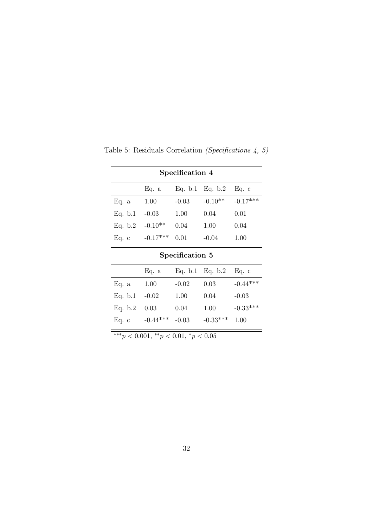| Specification 4                      |            |                 |                 |            |  |  |  |  |
|--------------------------------------|------------|-----------------|-----------------|------------|--|--|--|--|
| Eq. b.1<br>Eq. b.2<br>Eq. c<br>Eq. a |            |                 |                 |            |  |  |  |  |
| Eq. a                                | 1.00       | $-0.03$         | $-0.10**$       | $-0.17***$ |  |  |  |  |
| Eq. b.1                              | $-0.03$    | 1.00            | 0.04            | 0.01       |  |  |  |  |
| Eq. b.2                              | $-0.10**$  | 0.04            | 1.00            | 0.04       |  |  |  |  |
| Eq. c                                | $-0.17***$ | 0.01            | $-0.04$         | 1.00       |  |  |  |  |
|                                      |            | Specification 5 |                 |            |  |  |  |  |
|                                      | Eq. a      |                 | Eq. b.1 Eq. b.2 | Eq. c      |  |  |  |  |
| Eq. a                                | 1.00       | $-0.02$         | 0.03            | $-0.44***$ |  |  |  |  |
| Eq. b.1                              | $-0.02$    | 1.00            | 0.04            | $-0.03$    |  |  |  |  |
| Eq. b.2                              | 0.03       | 0.04            | 1.00            | $-0.33***$ |  |  |  |  |
| Eq. c                                | $-0.44***$ | $-0.03$         | $-0.33***$      | 1.00       |  |  |  |  |

<span id="page-32-0"></span>Table 5: Residuals Correlation (Specifications 4, 5)

\*\*\* $p < 0.001,$ \*\* $p < 0.01,$ \* $p < 0.05$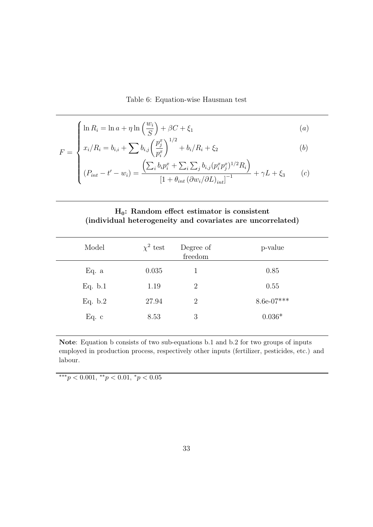#### Table 6: Equation-wise Hausman test

<span id="page-33-0"></span>
$$
\left(\ln R_i = \ln a + \eta \ln \left(\frac{w_i}{S}\right) + \beta C + \xi_1\right)
$$
\n
$$
(a)
$$

$$
F = \begin{cases} \n\text{m } R_i = \text{m } a + \eta \,\text{m } \left( \frac{1}{S} \right) + \beta C + \xi_1 & (a) \\ \nx_i / R_i = b_{i,i} + \sum b_{i,j} \left( \frac{p_j^x}{p_i^x} \right)^{1/2} + b_i / R_i + \xi_2 & (b) \n\end{cases}
$$

$$
(P_{int} - t' - w_i) = \frac{\left(\sum_i b_i p_i^x + \sum_i \sum_j b_{i,j} (p_i^x p_j^x)^{1/2} R_i\right)}{\left[1 + \theta_{int} \left(\partial w_i / \partial L\right)_{int}\right]^{-1}} + \gamma L + \xi_3 \qquad (c)
$$

#### H0: Random effect estimator is consistent (individual heterogeneity and covariates are uncorrelated)

| Model   | $\chi^2$ test | Degree of<br>freedom | p-value      |
|---------|---------------|----------------------|--------------|
| Eq. a   | 0.035         |                      | 0.85         |
| Eq. b.1 | 1.19          | $\overline{2}$       | 0.55         |
| Eq. b.2 | 27.94         | 2                    | $8.6e-07***$ |
| Eq. c   | 8.53          | 3                    | $0.036*$     |

Note: Equation b consists of two sub-equations b.1 and b.2 for two groups of inputs employed in production process, respectively other inputs (fertilizer, pesticides, etc.) and labour.

\*\*\* $p < 0.001,$ \*\* $p < 0.01,$ \* $p < 0.05$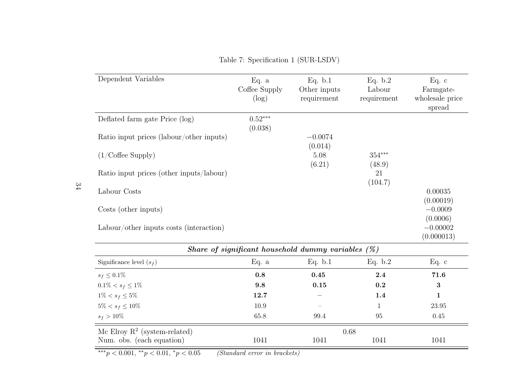| Dependent Variables                      | Eq. a<br>Coffee Supply<br>$(\log)$ | Eq. b.1<br>Other inputs<br>requirement                | Eq. b.2<br>Labour<br>requirement | Eq. c<br>Farmgate-<br>wholesale price<br>spread |
|------------------------------------------|------------------------------------|-------------------------------------------------------|----------------------------------|-------------------------------------------------|
| Deflated farm gate Price (log)           | $0.52***$<br>(0.038)               |                                                       |                                  |                                                 |
| Ratio input prices (labour/other inputs) |                                    | $-0.0074$<br>(0.014)                                  |                                  |                                                 |
| $(1/\text{Coffee}$ Supply)               |                                    | 5.08<br>(6.21)                                        | $354***$<br>(48.9)               |                                                 |
| Ratio input prices (other inputs/labour) |                                    |                                                       | 21<br>(104.7)                    |                                                 |
| Labour Costs                             |                                    |                                                       |                                  | 0.00035<br>(0.00019)                            |
| Costs (other inputs)                     |                                    |                                                       |                                  | $-0.0009$<br>(0.0006)                           |
| Labour/other inputs costs (interaction)  |                                    |                                                       |                                  | $-0.00002$<br>(0.000013)                        |
|                                          |                                    | Share of significant household dummy variables $(\%)$ |                                  |                                                 |
| Significance level $(s_f)$               | Eq. a                              | Eq. b.1                                               | Eq. b.2                          | Eq. $c$                                         |
| $s_f \leq 0.1\%$                         | 0.8                                | 0.45                                                  | 2.4                              | 71.6                                            |
| $0.1\% < s_f \leq 1\%$                   | 9.8                                | 0.15                                                  | 0.2                              | 3                                               |

 $\% < s_f \leq 5\%$  12.7 – 1.4 1

 $\% < s_f \leq 10\%$  10.9 – 1 23.95

Num. obs. (each equation) 1041 1041 1041 1041 1041

 $\%$  65.8 99.4 95 0.45

Table 7: Specification <sup>1</sup> (SUR-LSDV)

 $***p < 0.001, **p < 0.01, *p < 0.05$  (Standard error in brackets)

Mc Elroy  $R^2$  (system-related) 0.68

<span id="page-34-0"></span>34

 $1\% < s_f \leq 5\%$ 

 $5\% < s_f \leq 10\%$ 

 $s_f > 10\%$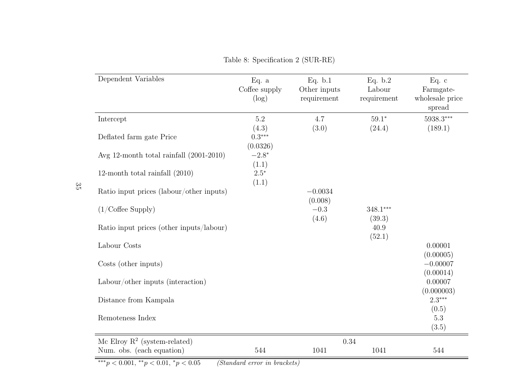| Dependent Variables                       | Eq. $a$<br>Coffee supply<br>(log) | Eq. b.1<br>Other inputs<br>requirement | Eq. b.2<br>Labour<br>requirement | Eq. c<br>Farmgate-<br>wholesale price<br>spread |
|-------------------------------------------|-----------------------------------|----------------------------------------|----------------------------------|-------------------------------------------------|
| Intercept                                 | $5.2\,$                           | 4.7                                    | $59.1*$                          | $5938.3***$                                     |
| Deflated farm gate Price                  | (4.3)<br>$0.3***$<br>(0.0326)     | (3.0)                                  | (24.4)                           | (189.1)                                         |
| Avg 12-month total rainfall $(2001-2010)$ | $-2.8*$                           |                                        |                                  |                                                 |
| 12-month total rainfall $(2010)$          | (1.1)<br>$2.5*$<br>(1.1)          |                                        |                                  |                                                 |
| Ratio input prices (labour/other inputs)  |                                   | $-0.0034$                              |                                  |                                                 |
| $(1/\text{Coffee}$ Supply)                |                                   | (0.008)<br>$-0.3$                      | 348.1***                         |                                                 |
| Ratio input prices (other inputs/labour)  |                                   | (4.6)                                  | (39.3)<br>40.9<br>(52.1)         |                                                 |
| Labour Costs                              |                                   |                                        |                                  | 0.00001<br>(0.00005)                            |
| Costs (other inputs)                      |                                   |                                        |                                  | $-0.00007$<br>(0.00014)                         |
| Labour/other inputs (interaction)         |                                   |                                        |                                  | 0.00007<br>(0.000003)                           |
| Distance from Kampala                     |                                   |                                        |                                  | $2.3***$<br>(0.5)                               |
| Remoteness Index                          |                                   |                                        |                                  | $5.3\,$<br>(3.5)                                |
| Mc Elroy $R^2$ (system-related)           |                                   | 0.34                                   |                                  |                                                 |
| Num. obs. (each equation)                 | 544                               | 1041                                   | 1041                             | 544                                             |

Table 8: Specification <sup>2</sup> (SUR-RE)

<span id="page-35-0"></span> $**p < 0.001, **p < 0.01, *p < 0.05$  (Standard error in brackets)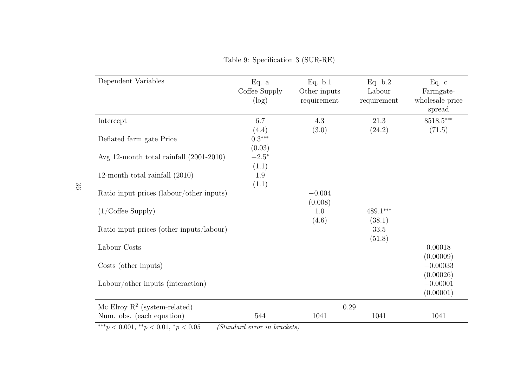| Dependent Variables                                          | Eq. $a$<br>Coffee Supply<br>$(\log)$ | Eq. b.1<br>Other inputs<br>requirement | Eq. b.2<br>Labour<br>requirement | Eq. c<br>Farmgate-<br>wholesale price<br>spread |
|--------------------------------------------------------------|--------------------------------------|----------------------------------------|----------------------------------|-------------------------------------------------|
| Intercept                                                    | 6.7<br>(4.4)                         | 4.3<br>(3.0)                           | 21.3<br>(24.2)                   | $8518.5***$<br>(71.5)                           |
| Deflated farm gate Price                                     | $0.3***$<br>(0.03)                   |                                        |                                  |                                                 |
| Avg 12-month total rainfall $(2001-2010)$                    | $-2.5*$<br>(1.1)                     |                                        |                                  |                                                 |
| 12-month total rainfall $(2010)$                             | 1.9<br>(1.1)                         |                                        |                                  |                                                 |
| Ratio input prices (labour/other inputs)                     |                                      | $-0.004$<br>(0.008)                    |                                  |                                                 |
| $(1/\text{Coffee}$ Supply)                                   |                                      | 1.0<br>(4.6)                           | $489.1^{\ast\ast\ast}$<br>(38.1) |                                                 |
| Ratio input prices (other inputs/labour)                     |                                      |                                        | 33.5<br>(51.8)                   |                                                 |
| Labour Costs                                                 |                                      |                                        |                                  | 0.00018<br>(0.00009)                            |
| Costs (other inputs)                                         |                                      |                                        |                                  | $-0.00033$<br>(0.00026)                         |
| Labour/other inputs (interaction)                            |                                      |                                        |                                  | $-0.00001$<br>(0.00001)                         |
| Mc Elroy $R^2$ (system-related)<br>Num. obs. (each equation) | 544                                  | 0.29<br>1041                           | 1041                             | 1041                                            |
| *** $p < 0.001,$ ** $p < 0.01,$ * $p < 0.05$                 | (Standard error in brackets)         |                                        |                                  |                                                 |

<span id="page-36-0"></span>Table 9: Specification <sup>3</sup> (SUR-RE)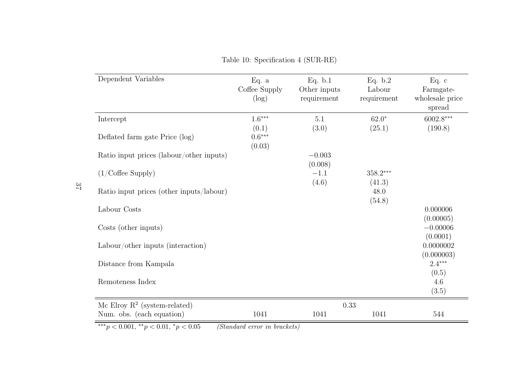| Dependent Variables                      | Eq. $a$<br>Coffee Supply<br>$(\log)$ | Eq. $b.1$<br>Other inputs<br>requirement | Eq. b.2<br>Labour<br>requirement | Eq. c<br>Farmgate-<br>wholesale price<br>spread |
|------------------------------------------|--------------------------------------|------------------------------------------|----------------------------------|-------------------------------------------------|
| Intercept                                | $1.6***$                             | $5.1\,$                                  | $62.0*$                          | $6002.8***$                                     |
| Deflated farm gate Price (log)           | (0.1)<br>$0.6***$<br>(0.03)          | (3.0)                                    | (25.1)                           | (190.8)                                         |
| Ratio input prices (labour/other inputs) |                                      | $-0.003$                                 |                                  |                                                 |
| $(1/\text{Coffee}$ Supply)               |                                      | (0.008)<br>$-1.1$<br>(4.6)               | $358.2***$<br>(41.3)             |                                                 |
| Ratio input prices (other inputs/labour) |                                      |                                          | 48.0                             |                                                 |
| Labour Costs                             |                                      |                                          | (54.8)                           | 0.000006<br>(0.00005)                           |
| Costs (other inputs)                     |                                      |                                          |                                  | $-0.00006$                                      |
| Labour/other inputs (interaction)        |                                      |                                          |                                  | (0.0001)<br>0.0000002<br>(0.000003)             |
| Distance from Kampala                    |                                      |                                          |                                  | $2.4***$                                        |
| Remoteness Index                         |                                      |                                          |                                  | (0.5)<br>4.6<br>(3.5)                           |
| Mc Elroy $R^2$ (system-related)          |                                      |                                          | 0.33                             |                                                 |
| Num. obs. (each equation)<br>$\sim$      | 1041                                 | 1041                                     | 1041                             | 544                                             |

Table 10: Specification <sup>4</sup> (SUR-RE)

<span id="page-37-0"></span> $**p < 0.001, **p < 0.01, *p < 0.05$  (Standard error in brackets)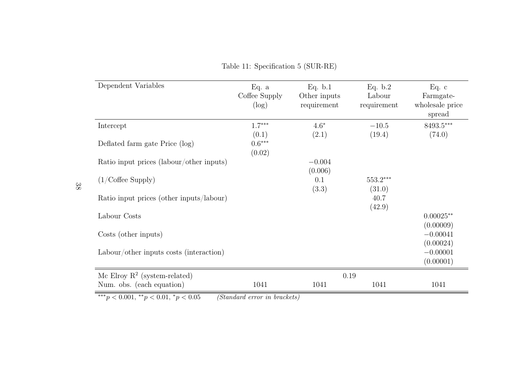| Dependent Variables                      | Eq. a<br>Coffee Supply<br>$(\log)$ | Eq. b.1<br>Other inputs<br>requirement | Eq. b.2<br>Labour<br>requirement | Eq. c<br>Farmgate-<br>wholesale price<br>spread |
|------------------------------------------|------------------------------------|----------------------------------------|----------------------------------|-------------------------------------------------|
| Intercept                                | $1.7***$                           | $4.6*$                                 | $-10.5$                          | $8493.5***$                                     |
| Deflated farm gate Price (log)           | (0.1)<br>$0.6***$<br>(0.02)        | (2.1)                                  | (19.4)                           | (74.0)                                          |
| Ratio input prices (labour/other inputs) |                                    | $-0.004$                               |                                  |                                                 |
| $(1/\text{Coffee}$ Supply)               |                                    | (0.006)<br>0.1<br>(3.3)                | $553.2***$<br>(31.0)             |                                                 |
| Ratio input prices (other inputs/labour) |                                    |                                        | 40.7<br>(42.9)                   |                                                 |
| Labour Costs                             |                                    |                                        |                                  | $0.00025**$                                     |
| Costs (other inputs)                     |                                    |                                        |                                  | (0.00009)<br>$-0.00041$<br>(0.00024)            |
| Labour/other inputs costs (interaction)  |                                    |                                        |                                  | $-0.00001$<br>(0.00001)                         |
| Mc Elroy $R^2$ (system-related)          |                                    | $0.19\,$                               |                                  |                                                 |
| Num. obs. (each equation)                | 1041                               | 1041                                   | 1041                             | 1041                                            |

Table 11: Specification <sup>5</sup> (SUR-RE)

<span id="page-38-0"></span> $**p < 0.001, **p < 0.01, *p < 0.05$  (Standard error in brackets)